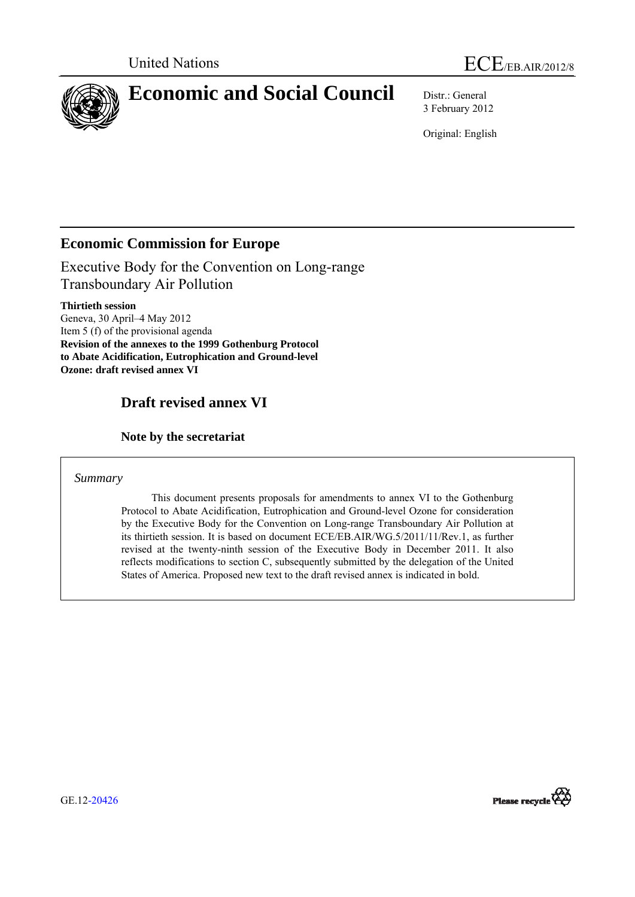

3 February 2012

Original: English

# **Economic Commission for Europe**

Executive Body for the Convention on Long-range Transboundary Air Pollution

**Thirtieth session**  Geneva, 30 April–4 May 2012 Item 5 (f) of the provisional agenda **Revision of the annexes to the 1999 Gothenburg Protocol to Abate Acidification, Eutrophication and Ground-level Ozone: draft revised annex VI** 

# **Draft revised annex VI**

 **Note by the secretariat** 

*Summary* 

 This document presents proposals for amendments to annex VI to the Gothenburg Protocol to Abate Acidification, Eutrophication and Ground-level Ozone for consideration by the Executive Body for the Convention on Long-range Transboundary Air Pollution at its thirtieth session. It is based on document ECE/EB.AIR/WG.5/2011/11/Rev.1, as further revised at the twenty-ninth session of the Executive Body in December 2011. It also reflects modifications to section C, subsequently submitted by the delegation of the United States of America. Proposed new text to the draft revised annex is indicated in bold.



GE.12-20426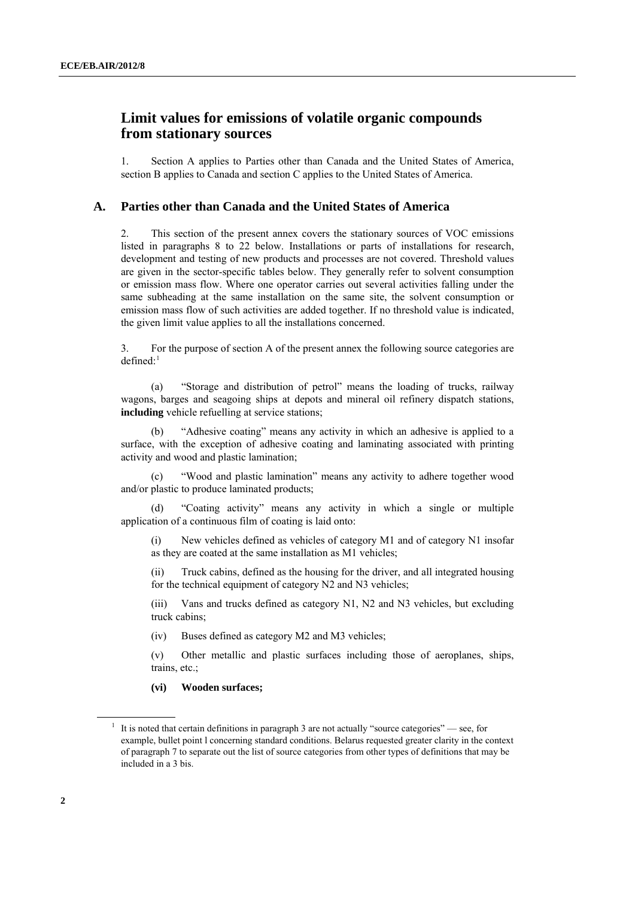## <span id="page-1-0"></span> **Limit values for emissions of volatile organic compounds from stationary sources**

1. Section A applies to Parties other than Canada and the United States of America, section B applies to Canada and section C applies to the United States of America.

### **A. Parties other than Canada and the United States of America**

2. This section of the present annex covers the stationary sources of VOC emissions listed in paragraphs 8 to 22 below. Installations or parts of installations for research, development and testing of new products and processes are not covered. Threshold values are given in the sector-specific tables below. They generally refer to solvent consumption or emission mass flow. Where one operator carries out several activities falling under the same subheading at the same installation on the same site, the solvent consumption or emission mass flow of such activities are added together. If no threshold value is indicated, the given limit value applies to all the installations concerned.

3. For the purpose of section A of the present annex the following source categories are  $defined:$ <sup>[1](#page-1-0)</sup>

 (a) "Storage and distribution of petrol" means the loading of trucks, railway wagons, barges and seagoing ships at depots and mineral oil refinery dispatch stations, **including** vehicle refuelling at service stations;

 (b) "Adhesive coating" means any activity in which an adhesive is applied to a surface, with the exception of adhesive coating and laminating associated with printing activity and wood and plastic lamination;

 (c) "Wood and plastic lamination" means any activity to adhere together wood and/or plastic to produce laminated products;

 (d) "Coating activity" means any activity in which a single or multiple application of a continuous film of coating is laid onto:

(i) New vehicles defined as vehicles of category M1 and of category N1 insofar as they are coated at the same installation as M1 vehicles;

(ii) Truck cabins, defined as the housing for the driver, and all integrated housing for the technical equipment of category N2 and N3 vehicles;

(iii) Vans and trucks defined as category N1, N2 and N3 vehicles, but excluding truck cabins;

(iv) Buses defined as category M2 and M3 vehicles;

(v) Other metallic and plastic surfaces including those of aeroplanes, ships, trains, etc.;

#### **(vi) Wooden surfaces;**

<sup>&</sup>lt;sup>1</sup> It is noted that certain definitions in paragraph 3 are not actually "source categories" — see, for example, bullet point l concerning standard conditions. Belarus requested greater clarity in the context of paragraph 7 to separate out the list of source categories from other types of definitions that may be included in a 3 bis.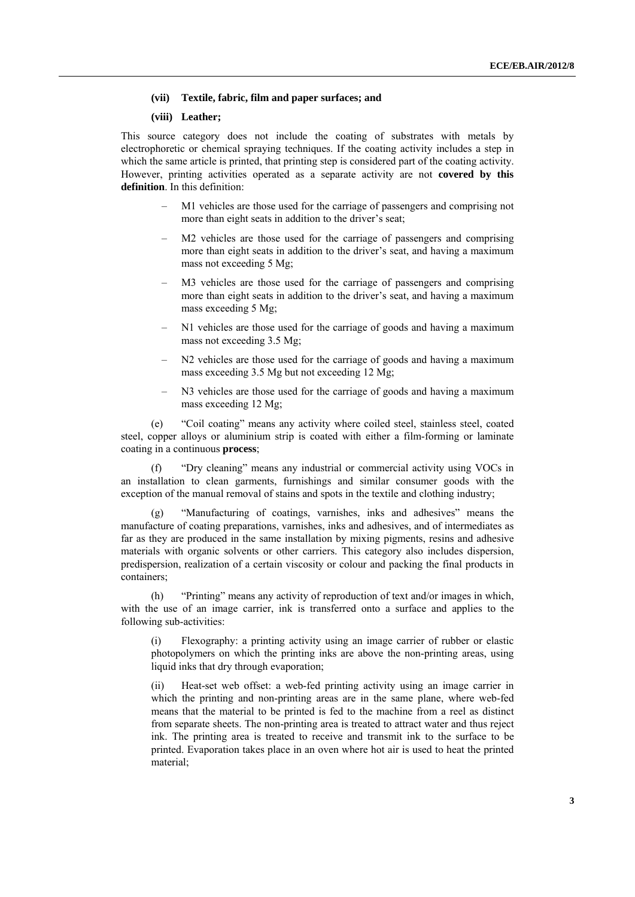#### **(vii) Textile, fabric, film and paper surfaces; and**

#### **(viii) Leather;**

This source category does not include the coating of substrates with metals by electrophoretic or chemical spraying techniques. If the coating activity includes a step in which the same article is printed, that printing step is considered part of the coating activity. However, printing activities operated as a separate activity are not **covered by this definition**. In this definition:

- M1 vehicles are those used for the carriage of passengers and comprising not more than eight seats in addition to the driver's seat;
- M2 vehicles are those used for the carriage of passengers and comprising more than eight seats in addition to the driver's seat, and having a maximum mass not exceeding 5 Mg;
- M3 vehicles are those used for the carriage of passengers and comprising more than eight seats in addition to the driver's seat, and having a maximum mass exceeding 5 Mg;
- N1 vehicles are those used for the carriage of goods and having a maximum mass not exceeding 3.5 Mg;
- N2 vehicles are those used for the carriage of goods and having a maximum mass exceeding 3.5 Mg but not exceeding 12 Mg;
- N3 vehicles are those used for the carriage of goods and having a maximum mass exceeding 12 Mg;

 (e) "Coil coating" means any activity where coiled steel, stainless steel, coated steel, copper alloys or aluminium strip is coated with either a film-forming or laminate coating in a continuous **process**;

 (f) "Dry cleaning" means any industrial or commercial activity using VOCs in an installation to clean garments, furnishings and similar consumer goods with the exception of the manual removal of stains and spots in the textile and clothing industry;

 (g) "Manufacturing of coatings, varnishes, inks and adhesives" means the manufacture of coating preparations, varnishes, inks and adhesives, and of intermediates as far as they are produced in the same installation by mixing pigments, resins and adhesive materials with organic solvents or other carriers. This category also includes dispersion, predispersion, realization of a certain viscosity or colour and packing the final products in containers;

 (h) "Printing" means any activity of reproduction of text and/or images in which, with the use of an image carrier, ink is transferred onto a surface and applies to the following sub-activities:

(i) Flexography: a printing activity using an image carrier of rubber or elastic photopolymers on which the printing inks are above the non-printing areas, using liquid inks that dry through evaporation;

(ii) Heat-set web offset: a web-fed printing activity using an image carrier in which the printing and non-printing areas are in the same plane, where web-fed means that the material to be printed is fed to the machine from a reel as distinct from separate sheets. The non-printing area is treated to attract water and thus reject ink. The printing area is treated to receive and transmit ink to the surface to be printed. Evaporation takes place in an oven where hot air is used to heat the printed material;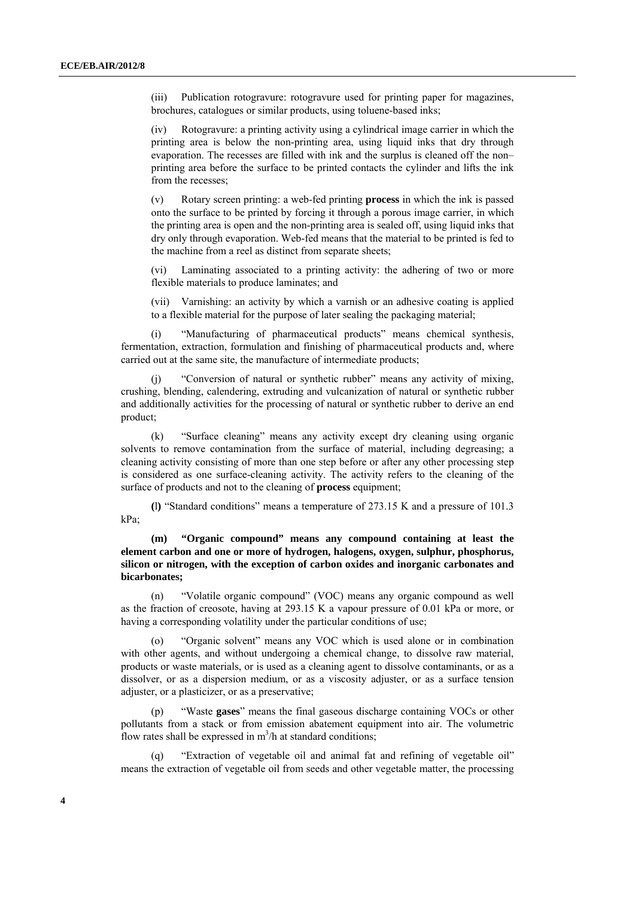(iii) Publication rotogravure: rotogravure used for printing paper for magazines, brochures, catalogues or similar products, using toluene-based inks;

(iv) Rotogravure: a printing activity using a cylindrical image carrier in which the printing area is below the non-printing area, using liquid inks that dry through evaporation. The recesses are filled with ink and the surplus is cleaned off the non– printing area before the surface to be printed contacts the cylinder and lifts the ink from the recesses;

(v) Rotary screen printing: a web-fed printing **process** in which the ink is passed onto the surface to be printed by forcing it through a porous image carrier, in which the printing area is open and the non-printing area is sealed off, using liquid inks that dry only through evaporation. Web-fed means that the material to be printed is fed to the machine from a reel as distinct from separate sheets;

(vi) Laminating associated to a printing activity: the adhering of two or more flexible materials to produce laminates; and

(vii) Varnishing: an activity by which a varnish or an adhesive coating is applied to a flexible material for the purpose of later sealing the packaging material;

"Manufacturing of pharmaceutical products" means chemical synthesis, fermentation, extraction, formulation and finishing of pharmaceutical products and, where carried out at the same site, the manufacture of intermediate products;

"Conversion of natural or synthetic rubber" means any activity of mixing, crushing, blending, calendering, extruding and vulcanization of natural or synthetic rubber and additionally activities for the processing of natural or synthetic rubber to derive an end product;

 (k) "Surface cleaning" means any activity except dry cleaning using organic solvents to remove contamination from the surface of material, including degreasing; a cleaning activity consisting of more than one step before or after any other processing step is considered as one surface-cleaning activity. The activity refers to the cleaning of the surface of products and not to the cleaning of **process** equipment;

**(**l**)** "Standard conditions" means a temperature of 273.15 K and a pressure of 101.3 kPa;

 **(m) "Organic compound" means any compound containing at least the element carbon and one or more of hydrogen, halogens, oxygen, sulphur, phosphorus, silicon or nitrogen, with the exception of carbon oxides and inorganic carbonates and bicarbonates;** 

 (n) "Volatile organic compound" (VOC) means any organic compound as well as the fraction of creosote, having at 293.15 K a vapour pressure of 0.01 kPa or more, or having a corresponding volatility under the particular conditions of use;

 (o) "Organic solvent" means any VOC which is used alone or in combination with other agents, and without undergoing a chemical change, to dissolve raw material, products or waste materials, or is used as a cleaning agent to dissolve contaminants, or as a dissolver, or as a dispersion medium, or as a viscosity adjuster, or as a surface tension adjuster, or a plasticizer, or as a preservative;

"Waste **gases**" means the final gaseous discharge containing VOCs or other pollutants from a stack or from emission abatement equipment into air. The volumetric flow rates shall be expressed in  $m^3/h$  at standard conditions;

"Extraction of vegetable oil and animal fat and refining of vegetable oil" means the extraction of vegetable oil from seeds and other vegetable matter, the processing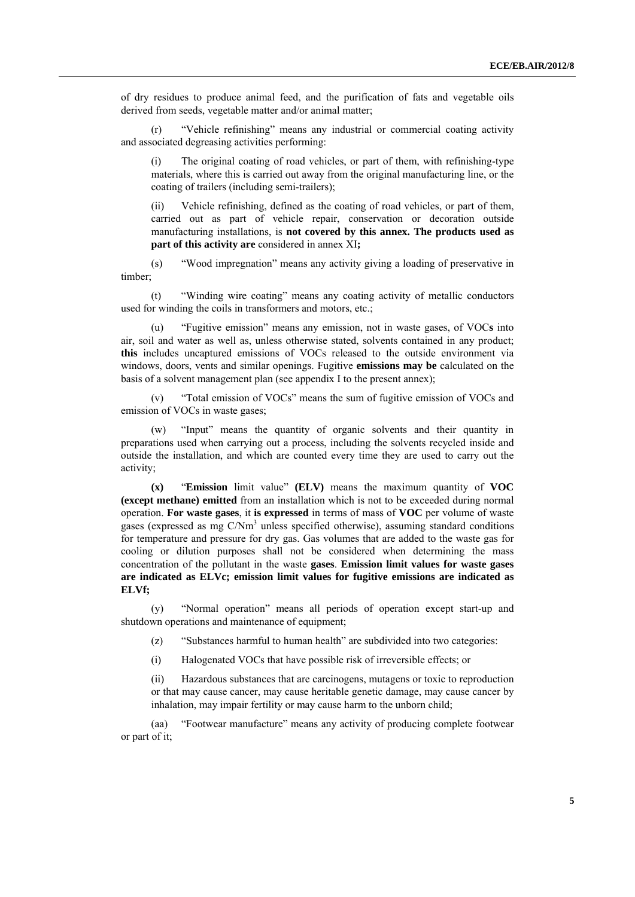of dry residues to produce animal feed, and the purification of fats and vegetable oils derived from seeds, vegetable matter and/or animal matter;

 (r) "Vehicle refinishing" means any industrial or commercial coating activity and associated degreasing activities performing:

 (i) The original coating of road vehicles, or part of them, with refinishing-type materials, where this is carried out away from the original manufacturing line, or the coating of trailers (including semi-trailers);

 (ii) Vehicle refinishing, defined as the coating of road vehicles, or part of them, carried out as part of vehicle repair, conservation or decoration outside manufacturing installations, is **not covered by this annex. The products used as part of this activity are** considered in annex XI**;** 

 (s) "Wood impregnation" means any activity giving a loading of preservative in timber;

 (t) "Winding wire coating" means any coating activity of metallic conductors used for winding the coils in transformers and motors, etc.;

"Fugitive emission" means any emission, not in waste gases, of VOCs into air, soil and water as well as, unless otherwise stated, solvents contained in any product; **this** includes uncaptured emissions of VOCs released to the outside environment via windows, doors, vents and similar openings. Fugitive **emissions may be** calculated on the basis of a solvent management plan (see appendix I to the present annex);

 (v) "Total emission of VOCs" means the sum of fugitive emission of VOCs and emission of VOCs in waste gases;

 (w) "Input" means the quantity of organic solvents and their quantity in preparations used when carrying out a process, including the solvents recycled inside and outside the installation, and which are counted every time they are used to carry out the activity;

**(x)** "**Emission** limit value" **(ELV)** means the maximum quantity of **VOC (except methane) emitted** from an installation which is not to be exceeded during normal operation. **For waste gases**, it **is expressed** in terms of mass of **VOC** per volume of waste gases (expressed as mg C/Nm<sup>3</sup> unless specified otherwise), assuming standard conditions for temperature and pressure for dry gas. Gas volumes that are added to the waste gas for cooling or dilution purposes shall not be considered when determining the mass concentration of the pollutant in the waste **gases**. **Emission limit values for waste gases are indicated as ELVc; emission limit values for fugitive emissions are indicated as ELVf;** 

 (y) "Normal operation" means all periods of operation except start-up and shutdown operations and maintenance of equipment;

(z) "Substances harmful to human health" are subdivided into two categories:

(i) Halogenated VOCs that have possible risk of irreversible effects; or

(ii) Hazardous substances that are carcinogens, mutagens or toxic to reproduction or that may cause cancer, may cause heritable genetic damage, may cause cancer by inhalation, may impair fertility or may cause harm to the unborn child;

 (aa) "Footwear manufacture" means any activity of producing complete footwear or part of it;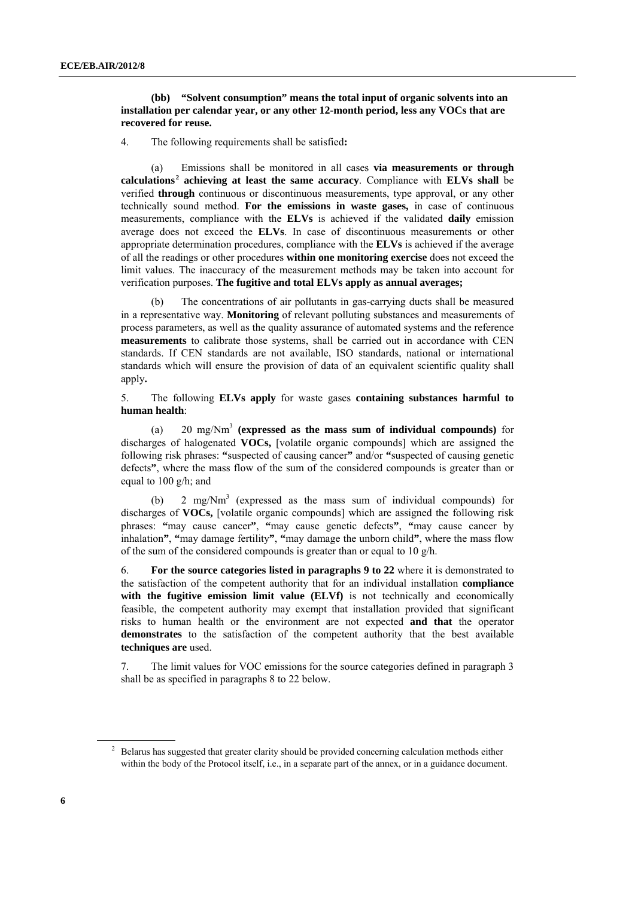#### **(bb) "Solvent consumption" means the total input of organic solvents into an installation per calendar year, or any other 12-month period, less any VOCs that are recovered for reuse.**

4. The following requirements shall be satisfied**:**

 (a) Emissions shall be monitored in all cases **via measurements or through calculations <sup>2</sup> achieving at least the same accuracy**. Compliance with **ELVs shall** be verified **through** continuous or discontinuous measurements, type approval, or any other technically sound method. **For the emissions in waste gases,** in case of continuous measurements, compliance with the **ELVs** is achieved if the validated **daily** emission average does not exceed the **ELVs**. In case of discontinuous measurements or other appropriate determination procedures, compliance with the **ELVs** is achieved if the average of all the readings or other procedures **within one monitoring exercise** does not exceed the limit values. The inaccuracy of the measurement methods may be taken into account for verification purposes. **The fugitive and total ELVs apply as annual averages;**

The concentrations of air pollutants in gas-carrying ducts shall be measured in a representative way. **Monitoring** of relevant polluting substances and measurements of process parameters, as well as the quality assurance of automated systems and the reference **measurements** to calibrate those systems, shall be carried out in accordance with CEN standards. If CEN standards are not available, ISO standards, national or international standards which will ensure the provision of data of an equivalent scientific quality shall apply**.**

5. The following **ELVs apply** for waste gases **containing substances harmful to human health**:

 (a) 20 mg/Nm3 **(expressed as the mass sum of individual compounds)** for discharges of halogenated **VOCs,** [volatile organic compounds] which are assigned the following risk phrases: **"**suspected of causing cancer**"** and/or **"**suspected of causing genetic defects**"**, where the mass flow of the sum of the considered compounds is greater than or equal to 100 g/h; and

(b) 2 mg/ $Nm<sup>3</sup>$  (expressed as the mass sum of individual compounds) for discharges of **VOCs,** [volatile organic compounds] which are assigned the following risk phrases: **"**may cause cancer**"**, **"**may cause genetic defects**"**, **"**may cause cancer by inhalation**"**, **"**may damage fertility**"**, **"**may damage the unborn child**"**, where the mass flow of the sum of the considered compounds is greater than or equal to 10 g/h.

6. **For the source categories listed in paragraphs 9 to 22** where it is demonstrated to the satisfaction of the competent authority that for an individual installation **compliance**  with the fugitive emission limit value (ELVf) is not technically and economically feasible, the competent authority may exempt that installation provided that significant risks to human health or the environment are not expected **and that** the operator **demonstrates** to the satisfaction of the competent authority that the best available **techniques are** used.

7. The limit values for VOC emissions for the source categories defined in paragraph 3 shall be as specified in paragraphs 8 to 22 below.

<sup>2</sup> Belarus has suggested that greater clarity should be provided concerning calculation methods either within the body of the Protocol itself, i.e., in a separate part of the annex, or in a guidance document.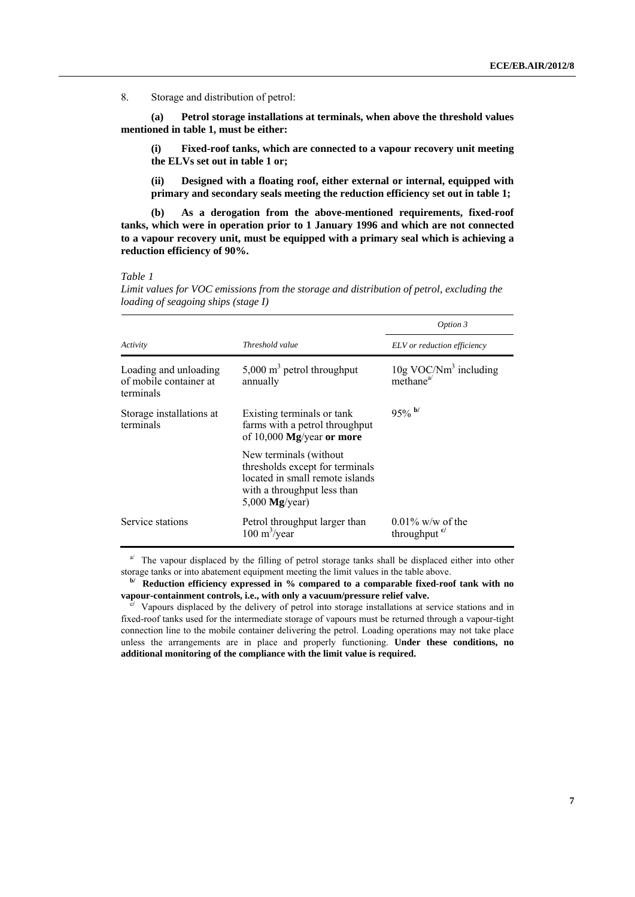8. Storage and distribution of petrol:

 **(a) Petrol storage installations at terminals, when above the threshold values mentioned in table 1, must be either:** 

 **(i) Fixed-roof tanks, which are connected to a vapour recovery unit meeting the ELVs set out in table 1 or;** 

 **(ii) Designed with a floating roof, either external or internal, equipped with primary and secondary seals meeting the reduction efficiency set out in table 1;** 

 **(b) As a derogation from the above-mentioned requirements, fixed-roof tanks, which were in operation prior to 1 January 1996 and which are not connected to a vapour recovery unit, must be equipped with a primary seal which is achieving a reduction efficiency of 90%.**

#### *Table 1*

*Limit values for VOC emissions from the storage and distribution of petrol, excluding the loading of seagoing ships (stage I)*

|                                                              |                                                                                                                                                  | Option 3                                                                     |
|--------------------------------------------------------------|--------------------------------------------------------------------------------------------------------------------------------------------------|------------------------------------------------------------------------------|
| Activity                                                     | Threshold value                                                                                                                                  | ELV or reduction efficiency                                                  |
| Loading and unloading<br>of mobile container at<br>terminals | 5,000 $m3$ petrol throughput<br>annually                                                                                                         | $10g$ VOC/Nm <sup>3</sup> including<br>$m$ ethane <sup><math>a</math>/</sup> |
| Storage installations at<br>terminals                        | Existing terminals or tank<br>farms with a petrol throughput<br>of $10,000$ Mg/year or more                                                      | $95%$ b/                                                                     |
|                                                              | New terminals (without<br>thresholds except for terminals<br>located in small remote islands<br>with a throughput less than<br>5,000 $Mg/year$ ) |                                                                              |
| Service stations                                             | Petrol throughput larger than<br>$100 \text{ m}^3/\text{year}$                                                                                   | $0.01\%$ w/w of the<br>throughput <sup>c</sup>                               |

 $a^{j}$  The vapour displaced by the filling of petrol storage tanks shall be displaced either into other storage tanks or into abatement equipment meeting the limit values in the table above.

Reduction efficiency expressed in % compared to a comparable fixed-roof tank with no **vapour-containment controls, i.e., with only a vacuum/pressure relief valve.** 

<sup>c</sup>/ Vapours displaced by the delivery of petrol into storage installations at service stations and in fixed-roof tanks used for the intermediate storage of vapours must be returned through a vapour-tight connection line to the mobile container delivering the petrol. Loading operations may not take place unless the arrangements are in place and properly functioning. **Under these conditions, no additional monitoring of the compliance with the limit value is required.**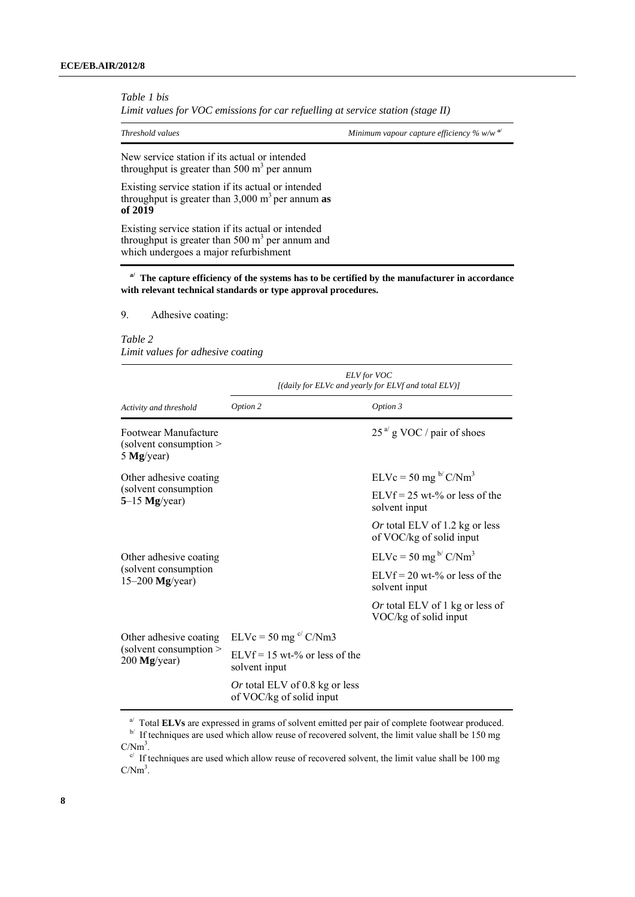*Table 1 bis* 

*Limit values for VOC emissions for car refuelling at service station (stage II)* 

*Threshold values Minimum vapour capture efficiency % w/w a/*

New service station if its actual or intended throughput is greater than 500  $m<sup>3</sup>$  per annum

Existing service station if its actual or intended throughput is greater than  $3,000 \text{ m}^3$  per annum **as of 2019**

Existing service station if its actual or intended throughput is greater than 500  $\text{m}^3$  per annum and which undergoes a major refurbishment

**a/ The capture efficiency of the systems has to be certified by the manufacturer in accordance with relevant technical standards or type approval procedures.**

9. Adhesive coating:

#### *Table 2*

*Limit values for adhesive coating* 

|                                                                      | <b>ELV</b> for VOC<br>[(daily for ELVc and yearly for ELVf and total ELV)] |                                                                   |
|----------------------------------------------------------------------|----------------------------------------------------------------------------|-------------------------------------------------------------------|
| Activity and threshold                                               | Option 2                                                                   | Option 3                                                          |
| Footwear Manufacture<br>(solvent consumption $\geq$<br>5 $Mg/year$ ) |                                                                            | $25a$ g VOC / pair of shoes                                       |
| Other adhesive coating<br>(solvent consumption<br>$5-15$ Mg/year)    |                                                                            | $ELVc = 50$ mg <sup>b/</sup> C/Nm <sup>3</sup>                    |
|                                                                      |                                                                            | $ELVf = 25$ wt-% or less of the<br>solvent input                  |
|                                                                      |                                                                            | <i>Or</i> total ELV of 1.2 kg or less<br>of VOC/kg of solid input |
| Other adhesive coating<br>(solvent consumption<br>$15-200$ Mg/year)  |                                                                            | $ELVc = 50$ mg <sup>b/</sup> $C/Nm3$                              |
|                                                                      |                                                                            | $ELYf = 20$ wt-% or less of the<br>solvent input                  |
|                                                                      |                                                                            | <i>Or</i> total ELV of 1 kg or less of<br>VOC/kg of solid input   |
| Other adhesive coating<br>(solvent consumption)<br>$200$ Mg/year)    | $ELVc = 50$ mg <sup>c</sup> /C/Nm3                                         |                                                                   |
|                                                                      | $ELVf = 15$ wt-% or less of the<br>solvent input                           |                                                                   |
|                                                                      | Or total ELV of 0.8 kg or less<br>of VOC/kg of solid input                 |                                                                   |

 $\frac{a}{b}$  Total **ELVs** are expressed in grams of solvent emitted per pair of complete footwear produced. **b** If techniques are used which allow reuse of recovered solvent, the limit value shall be 150 mg  $C/Nm<sup>3</sup>$ .

 $\degree$  If techniques are used which allow reuse of recovered solvent, the limit value shall be 100 mg  $C/Nm^3$ .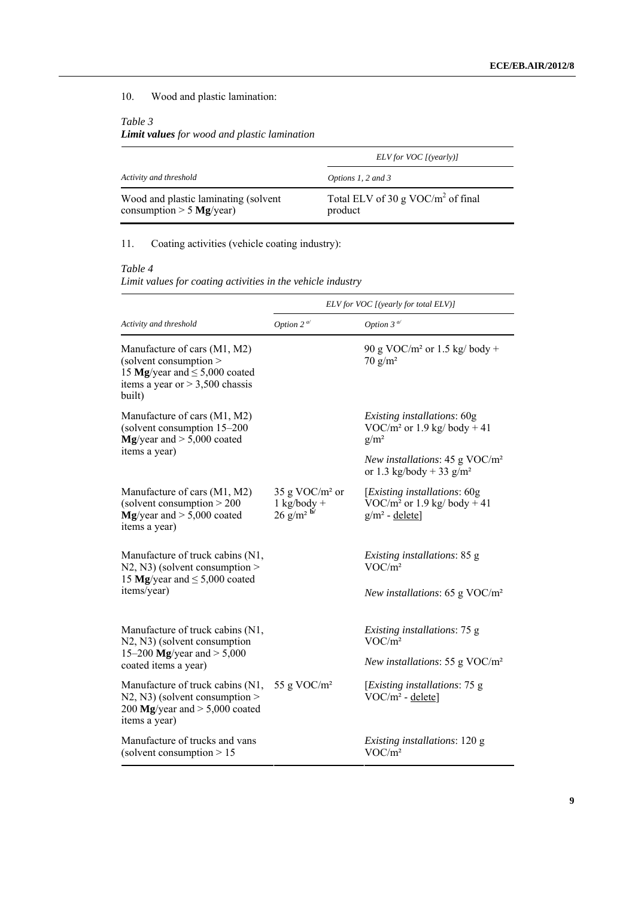## 10. Wood and plastic lamination:

### *Table 3*

## *Limit values for wood and plastic lamination*

|                                                                    | ELV for VOC [(yearly)]                          |
|--------------------------------------------------------------------|-------------------------------------------------|
| Activity and threshold                                             | Options 1, 2 and 3                              |
| Wood and plastic laminating (solvent<br>consumption $> 5$ Mg/year) | Total ELV of 30 g VOC/ $m2$ of final<br>product |

## 11. Coating activities (vehicle coating industry):

## *Table 4*

*Limit values for coating activities in the vehicle industry* 

|                                                                                                                                            | ELV for VOC [(yearly for total ELV)]                        |                                                                                               |  |
|--------------------------------------------------------------------------------------------------------------------------------------------|-------------------------------------------------------------|-----------------------------------------------------------------------------------------------|--|
| Activity and threshold                                                                                                                     | Option 2 $\alpha$ <sup><math>\alpha</math></sup>            | Option 3 $\alpha$                                                                             |  |
| Manufacture of cars (M1, M2)<br>(solvent consumption)<br>15 Mg/year and $\leq$ 5,000 coated<br>items a year or $> 3,500$ chassis<br>built) |                                                             | 90 g VOC/m <sup>2</sup> or 1.5 kg/ body +<br>$70 g/m^2$                                       |  |
| Manufacture of cars (M1, M2)<br>(solvent consumption 15-200<br>$Mg$ /year and $> 5,000$ coated                                             |                                                             | Existing installations: 60g<br>VOC/m <sup>2</sup> or 1.9 kg/ body + 41<br>$g/m^2$             |  |
| items a year)                                                                                                                              |                                                             | New installations: $45 \text{ g } \text{VOC/m}^2$<br>or 1.3 kg/body + 33 g/m <sup>2</sup>     |  |
| Manufacture of cars (M1, M2)<br>(solvent consumption $> 200$<br>$Mg$ /year and $> 5,000$ coated<br>items a year)                           | 35 g VOC/ $m2$ or<br>$1$ kg/body +<br>$26 \text{ g/m}^2$ b/ | [ <i>Existing installations</i> : 60g<br>VOC/ $m^2$ or 1.9 kg/ body + 41<br>$g/m^2$ - delete] |  |
| Manufacture of truck cabins (N1,<br>$N2$ , N3) (solvent consumption ><br>15 Mg/year and $\leq$ 5,000 coated<br>items/year)                 |                                                             | <i>Existing installations: 85 g</i><br>VOC/m <sup>2</sup>                                     |  |
|                                                                                                                                            |                                                             | New installations: 65 g VOC/ $m2$                                                             |  |
| Manufacture of truck cabins (N1,<br>N2, N3) (solvent consumption                                                                           |                                                             | Existing installations: 75 g<br>VOC/m <sup>2</sup>                                            |  |
| 15–200 Mg/year and $> 5,000$<br>coated items a year)                                                                                       |                                                             | New installations: 55 g VOC/ $m2$                                                             |  |
| Manufacture of truck cabins (N1,<br>$N2$ , N3) (solvent consumption ><br>200 Mg/year and $> 5,000$ coated<br>items a year)                 | 55 g VOC/ $m2$                                              | [ <i>Existing installations</i> : 75 g<br>$VOC/m^2$ - delete]                                 |  |
| Manufacture of trucks and vans<br>(solvent consumption $> 15$                                                                              |                                                             | <i>Existing installations:</i> 120 g<br>VOC/m <sup>2</sup>                                    |  |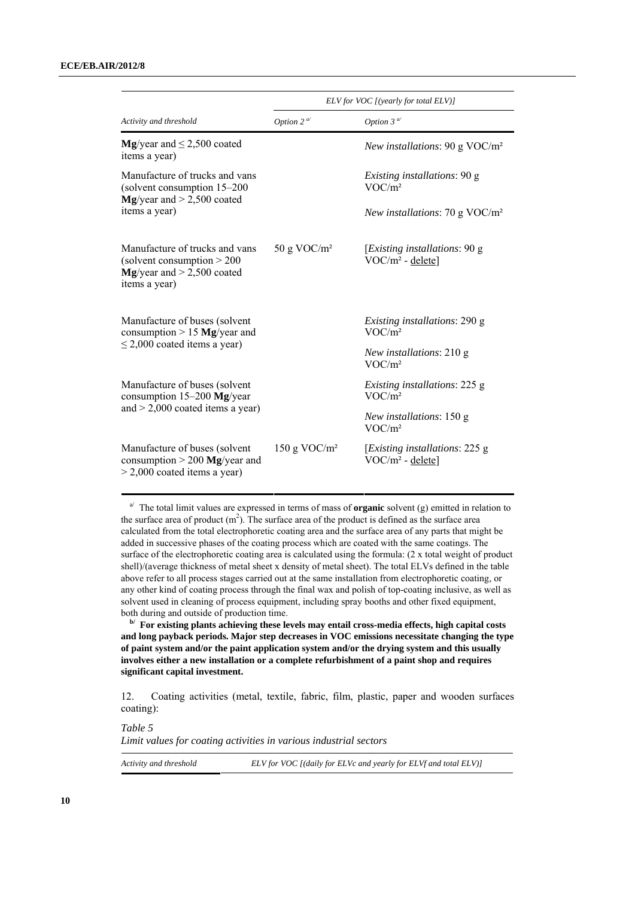|                                                                                                                  | ELV for VOC [(yearly for total ELV)]             |                                                                |
|------------------------------------------------------------------------------------------------------------------|--------------------------------------------------|----------------------------------------------------------------|
| Activity and threshold                                                                                           | Option 2 $\alpha$ <sup><math>\alpha</math></sup> | Option 3 $\alpha$                                              |
| <b>Mg</b> /year and $\leq$ 2,500 coated<br>items a year)                                                         |                                                  | New installations: 90 g VOC/ $m^2$                             |
| Manufacture of trucks and vans<br>(solvent consumption 15-200)                                                   |                                                  | Existing installations: 90 g<br>VOC/m <sup>2</sup>             |
| $Mg$ /year and $>$ 2,500 coated<br>items a year)                                                                 |                                                  | New installations: 70 g VOC/ $m2$                              |
| Manufacture of trucks and vans<br>(solvent consumption $> 200$<br>$Mg$ /year and > 2,500 coated<br>items a year) | 50 g VOC/ $m2$                                   | [ <i>Existing installations</i> : 90 g<br>$VOC/m^2$ - delete]  |
| Manufacture of buses (solvent<br>consumption $> 15$ Mg/year and                                                  |                                                  | <i>Existing installations: 290 g</i><br>VOC/m <sup>2</sup>     |
| $\leq$ 2,000 coated items a year)                                                                                |                                                  | <i>New installations:</i> 210 g<br>VOC/m <sup>2</sup>          |
| Manufacture of buses (solvent<br>consumption 15-200 Mg/year<br>and $> 2,000$ coated items a year)                |                                                  | <i>Existing installations: 225 g</i><br>VOC/m <sup>2</sup>     |
|                                                                                                                  |                                                  | <i>New installations:</i> 150 g<br>VOC/m <sup>2</sup>          |
| Manufacture of buses (solvent<br>consumption $> 200$ Mg/year and<br>$>$ 2,000 coated items a year)               | 150 g VOC/ $m2$                                  | [ <i>Existing installations</i> : 225 g<br>$VOC/m^2$ - delete] |

a/ The total limit values are expressed in terms of mass of **organic** solvent (g) emitted in relation to the surface area of product  $(m<sup>2</sup>)$ . The surface area of the product is defined as the surface area calculated from the total electrophoretic coating area and the surface area of any parts that might be added in successive phases of the coating process which are coated with the same coatings. The surface of the electrophoretic coating area is calculated using the formula: (2 x total weight of product shell)/(average thickness of metal sheet x density of metal sheet). The total ELVs defined in the table above refer to all process stages carried out at the same installation from electrophoretic coating, or any other kind of coating process through the final wax and polish of top-coating inclusive, as well as solvent used in cleaning of process equipment, including spray booths and other fixed equipment, both during and outside of production time.

**b/** For existing plants achieving these levels may entail cross-media effects, high capital costs **and long payback periods. Major step decreases in VOC emissions necessitate changing the type of paint system and/or the paint application system and/or the drying system and this usually involves either a new installation or a complete refurbishment of a paint shop and requires significant capital investment.** 

12. Coating activities (metal, textile, fabric, film, plastic, paper and wooden surfaces coating):

*Table 5 Limit values for coating activities in various industrial sectors* 

| Activity and threshold | ELV for VOC [(daily for ELVc and yearly for ELVf and total ELV)] |
|------------------------|------------------------------------------------------------------|
|------------------------|------------------------------------------------------------------|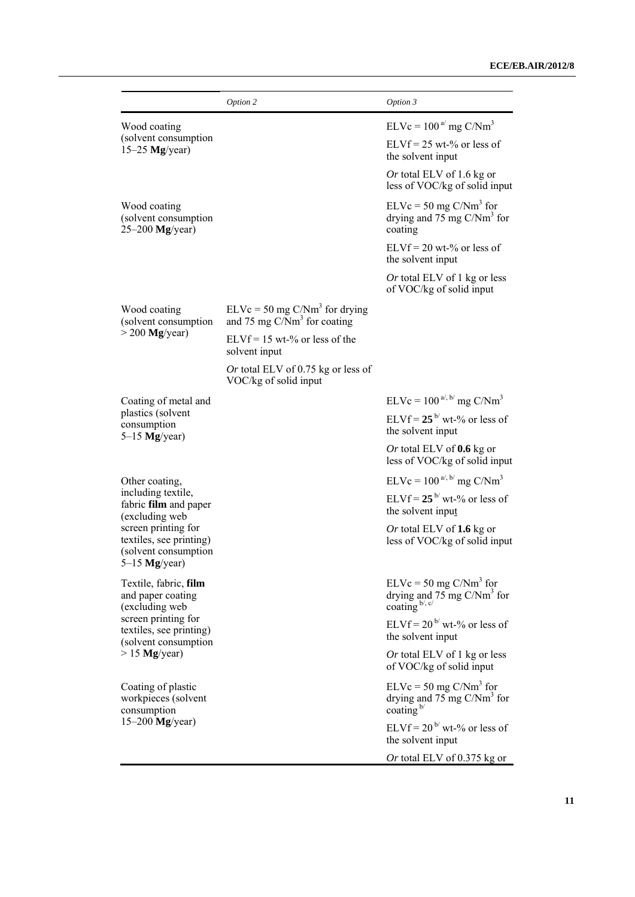|                                                                                                                                                            | Option 2                                                           | Option 3                                                                                     |
|------------------------------------------------------------------------------------------------------------------------------------------------------------|--------------------------------------------------------------------|----------------------------------------------------------------------------------------------|
| Wood coating<br>(solvent consumption                                                                                                                       |                                                                    | $ELVc = 100a$ mg C/Nm <sup>3</sup><br>$ELVf = 25 wt-% or less of$                            |
| $15-25$ Mg/year)                                                                                                                                           |                                                                    | the solvent input                                                                            |
|                                                                                                                                                            |                                                                    | <i>Or</i> total ELV of 1.6 kg or<br>less of VOC/kg of solid input                            |
| Wood coating<br>(solvent consumption<br>$25-200$ Mg/year)                                                                                                  |                                                                    | $ELVc = 50$ mg $C/Nm3$ for<br>drying and 75 mg $C/Nm3$ for<br>coating                        |
|                                                                                                                                                            |                                                                    | $ELVf = 20$ wt-% or less of<br>the solvent input                                             |
|                                                                                                                                                            |                                                                    | <i>Or</i> total ELV of 1 kg or less<br>of VOC/kg of solid input                              |
| Wood coating<br>(solvent consumption                                                                                                                       | $ELVc = 50$ mg $C/Nm3$ for drying<br>and 75 mg $C/Nm3$ for coating |                                                                                              |
| $>$ 200 Mg/year)                                                                                                                                           | $ELVf = 15$ wt-% or less of the<br>solvent input                   |                                                                                              |
|                                                                                                                                                            | Or total ELV of 0.75 kg or less of<br>VOC/kg of solid input        |                                                                                              |
| Coating of metal and                                                                                                                                       |                                                                    | $ELVc = 100^{a/3}$ mg C/Nm <sup>3</sup>                                                      |
| plastics (solvent<br>consumption<br>$5-15$ Mg/year)                                                                                                        |                                                                    | ELVf = $25^{\frac{b}{}}$ wt-% or less of<br>the solvent input                                |
|                                                                                                                                                            |                                                                    | Or total ELV of $0.6$ kg or<br>less of VOC/kg of solid input                                 |
| Other coating,                                                                                                                                             |                                                                    | $ELVc = 100^{a/6}$ mg C/Nm <sup>3</sup>                                                      |
| including textile,<br>fabric film and paper<br>(excluding web<br>screen printing for<br>textiles, see printing)<br>(solvent consumption<br>$5-15$ Mg/year) |                                                                    | $ELVf = 25^{b}$ wt-% or less of<br>the solvent input                                         |
|                                                                                                                                                            |                                                                    | Or total ELV of 1.6 kg or<br>less of VOC/kg of solid input                                   |
| Textile, fabric, film<br>and paper coating<br>(excluding web                                                                                               |                                                                    | $ELVc = 50$ mg $C/Nm3$ for<br>drying and 75 mg C/Nm <sup>3</sup> for coating $b^{l, c/}$     |
| screen printing for<br>textiles, see printing)<br>(solvent consumption                                                                                     |                                                                    | $ELVf = 20^{b}$ wt-% or less of<br>the solvent input                                         |
| $> 15$ Mg/year)                                                                                                                                            |                                                                    | Or total ELV of 1 kg or less<br>of VOC/kg of solid input                                     |
| Coating of plastic<br>workpieces (solvent<br>consumption                                                                                                   |                                                                    | $ELVc = 50$ mg $C/Nm3$ for<br>drying and $75 \text{ mg C/Nm}^3$ for<br>coating $\frac{b}{ }$ |
| $15-200$ Mg/year)                                                                                                                                          |                                                                    | ELVf = $20^{\frac{b}{c}}$ wt-% or less of<br>the solvent input                               |
|                                                                                                                                                            |                                                                    | Or total ELV of 0.375 kg or                                                                  |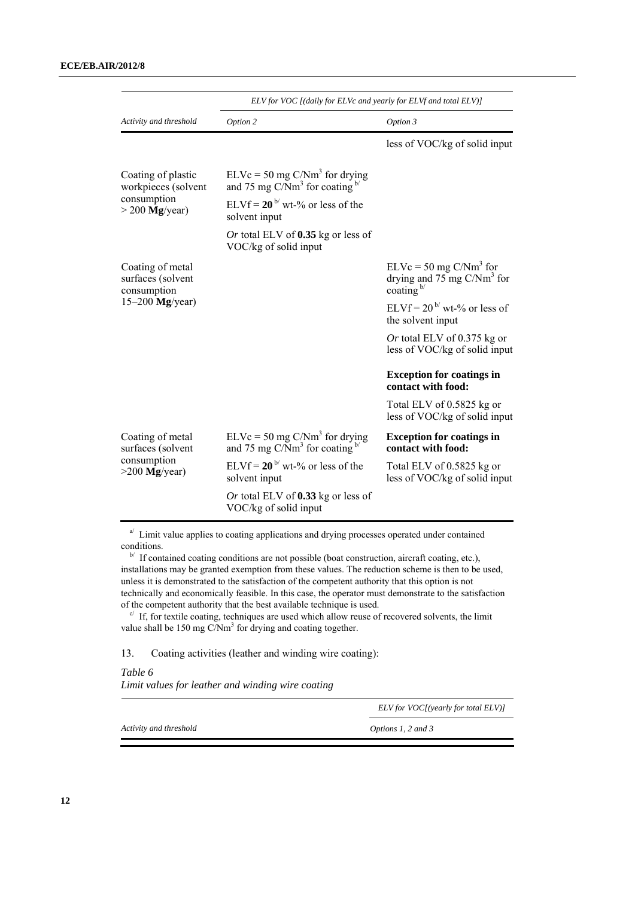|                                                                           | ELV for VOC [(daily for ELVc and yearly for ELVf and total ELV)]         |                                                                                     |
|---------------------------------------------------------------------------|--------------------------------------------------------------------------|-------------------------------------------------------------------------------------|
| Activity and threshold                                                    | Option 2                                                                 | Option 3                                                                            |
|                                                                           |                                                                          | less of VOC/kg of solid input                                                       |
| Coating of plastic<br>workpieces (solvent                                 | $ELVc = 50$ mg $C/Nm3$ for drying<br>and 75 mg $C/Nm3$ for coating $b$ / |                                                                                     |
| consumption<br>$>$ 200 Mg/year)                                           | $ELVf = 20^{\frac{b}{c}}$ wt-% or less of the<br>solvent input           |                                                                                     |
|                                                                           | Or total ELV of $0.35$ kg or less of<br>VOC/kg of solid input            |                                                                                     |
| Coating of metal<br>surfaces (solvent<br>consumption<br>$15-200$ Mg/year) |                                                                          | $ELVc = 50$ mg $C/Nm3$ for<br>drying and $75 \text{ mg C/Nm}^3$ for<br>coating $b/$ |
|                                                                           |                                                                          | ELVf = $20^{b}$ wt-% or less of<br>the solvent input                                |
|                                                                           |                                                                          | Or total ELV of $0.375$ kg or<br>less of VOC/kg of solid input                      |
|                                                                           |                                                                          | <b>Exception for coatings in</b><br>contact with food:                              |
|                                                                           |                                                                          | Total ELV of 0.5825 kg or<br>less of VOC/kg of solid input                          |
| Coating of metal<br>surfaces (solvent<br>consumption<br>$>200$ Mg/year)   | $ELVc = 50$ mg $C/Nm3$ for drying<br>and 75 mg $C/Nm3$ for coating $b/$  | <b>Exception for coatings in</b><br>contact with food:                              |
|                                                                           | $ELVf = 20^{b}$ wt-% or less of the<br>solvent input                     | Total ELV of 0.5825 kg or<br>less of VOC/kg of solid input                          |
|                                                                           | Or total ELV of $0.33$ kg or less of<br>VOC/kg of solid input            |                                                                                     |

 $a^{j}$  Limit value applies to coating applications and drying processes operated under contained

conditions. b/ If contained coating conditions are not possible (boat construction, aircraft coating, etc.), installations may be granted exemption from these values. The reduction scheme is then to be used, unless it is demonstrated to the satisfaction of the competent authority that this option is not technically and economically feasible. In this case, the operator must demonstrate to the satisfaction of the competent authority that the best available technique is used.  $\frac{c}{f}$  If, for textile coating, techniques are used which allow reuse of recovered solvents, the limit

value shall be 150 mg  $C/Nm<sup>3</sup>$  for drying and coating together.

13. Coating activities (leather and winding wire coating):

*Table 6 Limit values for leather and winding wire coating* 

*ELV for VOC[(yearly for total ELV)]* 

*Activity and threshold Options 1, 2 and 3*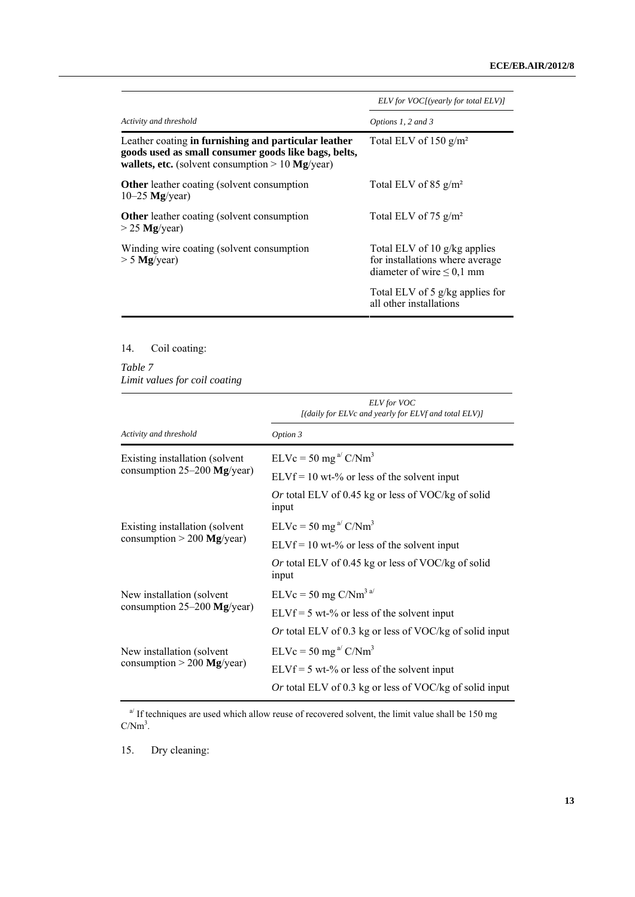|                                                                                                                                                                           | ELV for VOC[(yearly for total ELV)]                                                               |
|---------------------------------------------------------------------------------------------------------------------------------------------------------------------------|---------------------------------------------------------------------------------------------------|
| Activity and threshold                                                                                                                                                    | Options 1, 2 and 3                                                                                |
| Leather coating in furnishing and particular leather<br>goods used as small consumer goods like bags, belts,<br><b>wallets, etc.</b> (solvent consumption $> 10$ Mg/year) | Total ELV of 150 $g/m^2$                                                                          |
| <b>Other</b> leather coating (solvent consumption<br>$10-25$ Mg/year)                                                                                                     | Total ELV of 85 $g/m^2$                                                                           |
| <b>Other</b> leather coating (solvent consumption<br>$>$ 25 Mg/year)                                                                                                      | Total ELV of 75 $g/m^2$                                                                           |
| Winding wire coating (solvent consumption<br>$> 5$ Mg/year)                                                                                                               | Total ELV of 10 g/kg applies<br>for installations where average<br>diameter of wire $\leq 0.1$ mm |
|                                                                                                                                                                           | Total ELV of 5 g/kg applies for<br>all other installations                                        |
|                                                                                                                                                                           |                                                                                                   |

## 14. Coil coating:

## *Table 7 Limit values for coil coating*

|                                                            | ELV for VOC<br>[(daily for ELVc and yearly for ELVf and total ELV)] |
|------------------------------------------------------------|---------------------------------------------------------------------|
| Activity and threshold                                     | Option 3                                                            |
| Existing installation (solvent                             | $ELVc = 50$ mg <sup>a</sup> $C/Nm3$                                 |
| consumption $25-200$ Mg/year)                              | $ELVf = 10$ wt-% or less of the solvent input                       |
|                                                            | Or total ELV of 0.45 kg or less of VOC/kg of solid<br>input         |
| Existing installation (solvent                             | $ELVc = 50$ mg <sup>a/</sup> $C/Nm3$                                |
| consumption $> 200$ Mg/year)                               | $ELVf = 10$ wt-% or less of the solvent input                       |
|                                                            | Or total ELV of 0.45 kg or less of VOC/kg of solid<br>input         |
| New installation (solvent<br>consumption $25-200$ Mg/year) | $ELVc = 50$ mg $C/Nm3$ <sup>a/</sup>                                |
|                                                            | $ELVf = 5 wt-%$ or less of the solvent input                        |
|                                                            | Or total ELV of 0.3 kg or less of VOC/kg of solid input             |
| New installation (solvent                                  | $ELVc = 50$ mg <sup>a/</sup> $C/Nm3$                                |
| consumption $> 200$ Mg/year)                               | $ELVf = 5 wt-%$ or less of the solvent input                        |
|                                                            | Or total ELV of 0.3 kg or less of VOC/kg of solid input             |

 $a^{q}$  If techniques are used which allow reuse of recovered solvent, the limit value shall be 150 mg  $C/Nm^3$ .

15. Dry cleaning: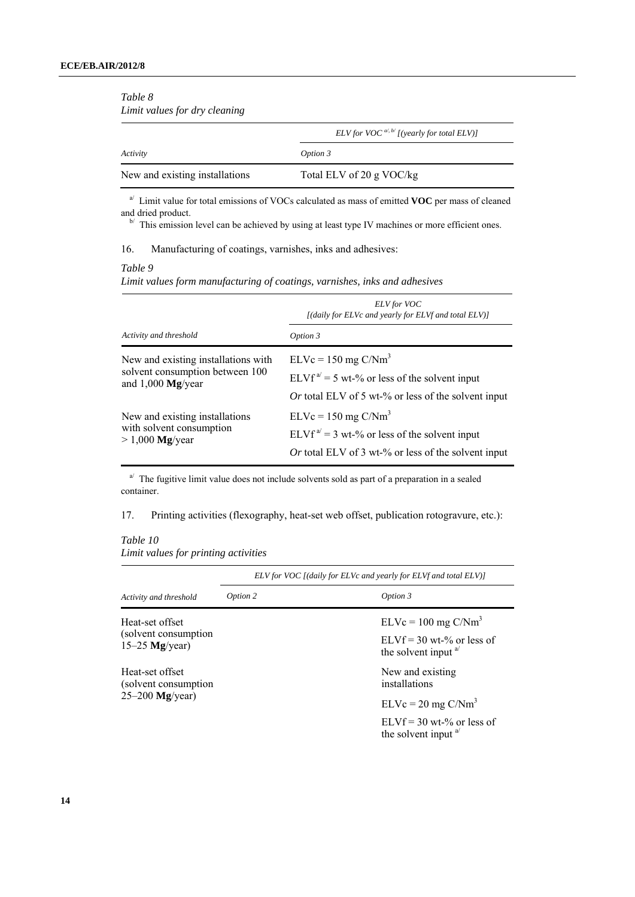| Limit values for dry cleaning  |                                                  |  |
|--------------------------------|--------------------------------------------------|--|
|                                | ELV for VOC $a^{d, b'}$ [(yearly for total ELV)] |  |
| Activity                       | Option 3                                         |  |
| New and existing installations | Total ELV of 20 g VOC/kg                         |  |

<sup>a/</sup> Limit value for total emissions of VOCs calculated as mass of emitted **VOC** per mass of cleaned and dried product.

 $\mathbb{R}^N$  This emission level can be achieved by using at least type IV machines or more efficient ones.

#### 16. Manufacturing of coatings, varnishes, inks and adhesives:

### *Table 9*

*Table 8* 

*Limit values form manufacturing of coatings, varnishes, inks and adhesives* 

|                                     | <b>ELV</b> for VOC<br>[(daily for ELVc and yearly for ELVf and total ELV)] |
|-------------------------------------|----------------------------------------------------------------------------|
| Activity and threshold              | Option 3                                                                   |
| New and existing installations with | $ELVc = 150$ mg $C/Nm3$                                                    |
| solvent consumption between 100     | ELVf <sup>a'</sup> = 5 wt-% or less of the solvent input                   |
| and $1,000$ Mg/year                 | Or total ELV of 5 wt-% or less of the solvent input                        |
| New and existing installations      | $ELVc = 150$ mg $C/Nm3$                                                    |
| with solvent consumption            | ELVf <sup>a/</sup> = 3 wt-% or less of the solvent input                   |
| $> 1,000$ Mg/year                   | Or total ELV of 3 wt-% or less of the solvent input                        |

 $a^{j}$  The fugitive limit value does not include solvents sold as part of a preparation in a sealed container.

17. Printing activities (flexography, heat-set web offset, publication rotogravure, etc.):

## *Table 10 Limit values for printing activities*

|                                                               | ELV for VOC [(daily for ELVc and yearly for ELVf and total ELV)] |                                                                |  |
|---------------------------------------------------------------|------------------------------------------------------------------|----------------------------------------------------------------|--|
| Activity and threshold                                        | Option 2                                                         | Option 3                                                       |  |
| Heat-set offset                                               |                                                                  | $ELVc = 100$ mg $C/Nm3$                                        |  |
| (solvent consumption)<br>$15-25$ Mg/year)                     |                                                                  | $ELVf = 30$ wt-% or less of<br>the solvent input $a^{1/2}$     |  |
| Heat-set offset<br>(solvent consumption)<br>$25-200$ Mg/year) |                                                                  | New and existing<br>installations                              |  |
|                                                               |                                                                  | $ELVc = 20$ mg $C/Nm3$                                         |  |
|                                                               |                                                                  | $ELVf = 30$ wt-% or less of<br>the solvent input <sup>a/</sup> |  |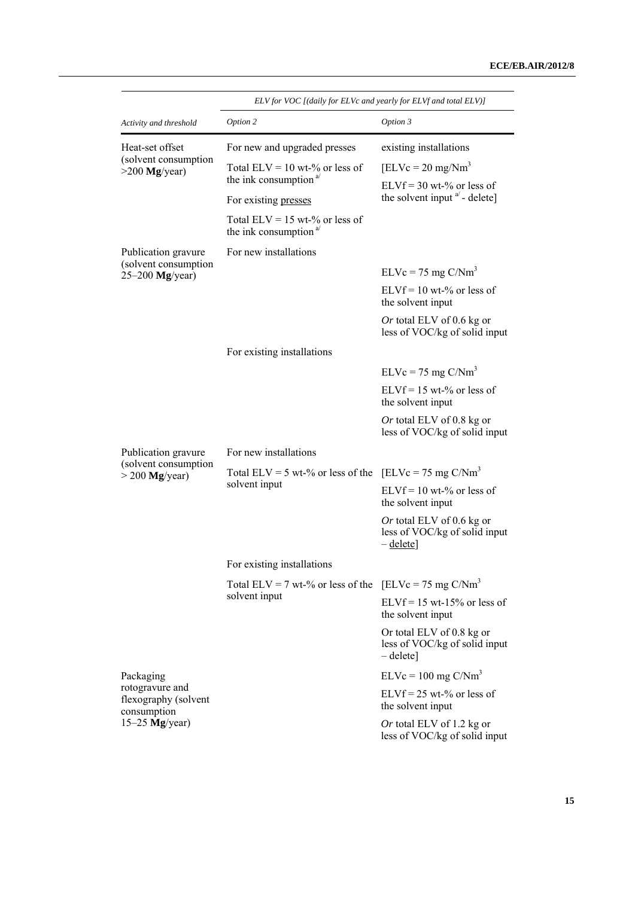|                                                            | ELV for VOC [(daily for ELVc and yearly for ELVf and total ELV)]                  |                                                                                |  |  |
|------------------------------------------------------------|-----------------------------------------------------------------------------------|--------------------------------------------------------------------------------|--|--|
| Activity and threshold                                     | Option 2                                                                          | Option 3                                                                       |  |  |
| Heat-set offset<br>(solvent consumption<br>$>200$ Mg/year) | For new and upgraded presses                                                      | existing installations                                                         |  |  |
|                                                            | Total ELV = $10$ wt-% or less of<br>the ink consumption <sup>a/</sup>             | $[ELVc = 20 mg/Nm3]$                                                           |  |  |
|                                                            | For existing presses                                                              | $ELVf = 30 wt-% or less of$<br>the solvent input <sup>a'</sup> - delete]       |  |  |
|                                                            | Total ELV = $15$ wt-% or less of<br>the ink consumption <sup><math>a</math></sup> |                                                                                |  |  |
| Publication gravure                                        | For new installations                                                             |                                                                                |  |  |
| (solvent consumption<br>$25-200$ Mg/year)                  |                                                                                   | $ELVc = 75$ mg $C/Nm3$                                                         |  |  |
|                                                            |                                                                                   | $ELVf = 10$ wt-% or less of<br>the solvent input                               |  |  |
|                                                            |                                                                                   | Or total ELV of 0.6 kg or<br>less of VOC/kg of solid input                     |  |  |
|                                                            | For existing installations                                                        |                                                                                |  |  |
|                                                            |                                                                                   | $ELVc = 75$ mg $C/Nm3$                                                         |  |  |
|                                                            |                                                                                   | $ELVf = 15$ wt-% or less of<br>the solvent input                               |  |  |
|                                                            |                                                                                   | Or total ELV of 0.8 kg or<br>less of VOC/kg of solid input                     |  |  |
| Publication gravure                                        | For new installations                                                             |                                                                                |  |  |
| (solvent consumption<br>$>$ 200 Mg/year)                   | Total ELV = 5 wt-% or less of the [ELVc = 75 mg $C/Nm^3$<br>solvent input         |                                                                                |  |  |
|                                                            |                                                                                   | $ELVf = 10 wt-% or less of$<br>the solvent input                               |  |  |
|                                                            |                                                                                   | Or total ELV of 0.6 kg or<br>less of VOC/kg of solid input<br>$-\text{delete}$ |  |  |
|                                                            | For existing installations                                                        |                                                                                |  |  |
|                                                            | Total ELV = 7 wt-% or less of the<br>solvent input                                | [ELVc = 75 mg $C/Nm3$                                                          |  |  |
|                                                            |                                                                                   | $ELVf = 15$ wt-15% or less of<br>the solvent input                             |  |  |
|                                                            |                                                                                   | Or total ELV of 0.8 kg or<br>less of VOC/kg of solid input<br>$-\text{delete}$ |  |  |
| Packaging                                                  |                                                                                   | $ELVc = 100$ mg $C/Nm3$                                                        |  |  |
| rotogravure and<br>flexography (solvent<br>consumption     |                                                                                   | $ELVf = 25$ wt-% or less of<br>the solvent input                               |  |  |
| $15-25$ Mg/year)                                           |                                                                                   | Or total ELV of 1.2 kg or<br>less of VOC/kg of solid input                     |  |  |

*ELV for VOC [(daily for ELVc and yearly for ELVf and total ELV)]*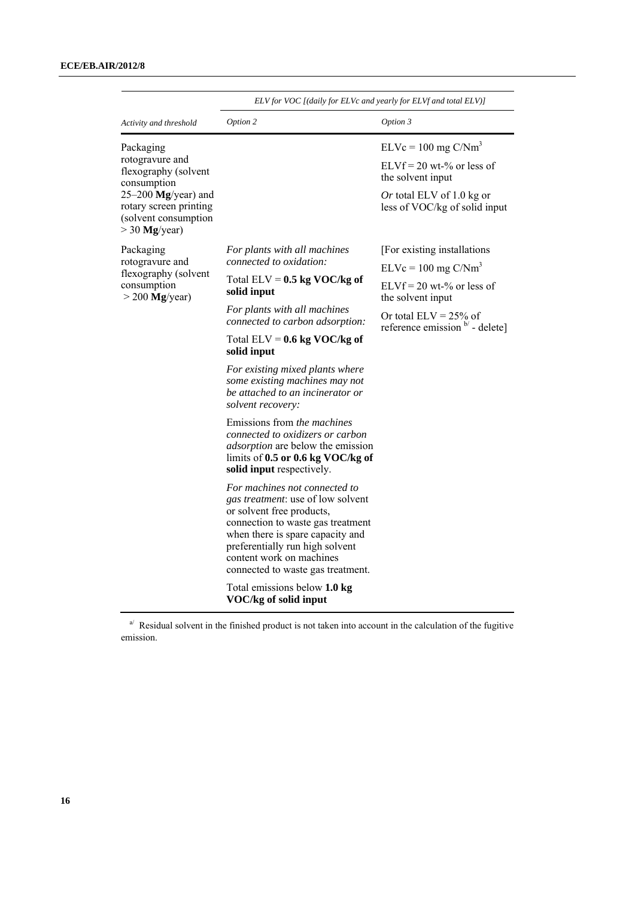|                                                                                            | ELV for VOC [(daily for ELVc and yearly for ELVf and total ELV)]                                                                                                                                                                                                             |                                                                       |  |
|--------------------------------------------------------------------------------------------|------------------------------------------------------------------------------------------------------------------------------------------------------------------------------------------------------------------------------------------------------------------------------|-----------------------------------------------------------------------|--|
| Activity and threshold                                                                     | Option 2                                                                                                                                                                                                                                                                     | Option 3                                                              |  |
| Packaging                                                                                  |                                                                                                                                                                                                                                                                              | $ELVc = 100$ mg $C/Nm3$                                               |  |
| rotogravure and<br>flexography (solvent<br>consumption                                     |                                                                                                                                                                                                                                                                              | $ELVf = 20$ wt-% or less of<br>the solvent input                      |  |
| $25-200$ Mg/year) and<br>rotary screen printing<br>(solvent consumption<br>$>$ 30 Mg/year) |                                                                                                                                                                                                                                                                              | Or total ELV of 1.0 kg or<br>less of VOC/kg of solid input            |  |
| Packaging                                                                                  | For plants with all machines<br>connected to oxidation:                                                                                                                                                                                                                      | [For existing installations]                                          |  |
| rotogravure and<br>flexography (solvent                                                    |                                                                                                                                                                                                                                                                              | $ELVc = 100$ mg $C/Nm3$                                               |  |
| consumption<br>$>$ 200 Mg/year)                                                            | Total ELV = $0.5$ kg VOC/kg of<br>solid input                                                                                                                                                                                                                                | $ELVf = 20$ wt-% or less of<br>the solvent input                      |  |
|                                                                                            | For plants with all machines<br>connected to carbon adsorption:                                                                                                                                                                                                              | Or total $ELV = 25%$ of<br>reference emission $\mathbf{b}'$ - delete] |  |
|                                                                                            | Total ELV = $0.6$ kg VOC/kg of<br>solid input                                                                                                                                                                                                                                |                                                                       |  |
|                                                                                            | For existing mixed plants where<br>some existing machines may not<br>be attached to an incinerator or<br>solvent recovery:                                                                                                                                                   |                                                                       |  |
|                                                                                            | Emissions from the machines<br>connected to oxidizers or carbon<br><i>adsorption</i> are below the emission<br>limits of $0.5$ or $0.6$ kg VOC/kg of<br>solid input respectively.                                                                                            |                                                                       |  |
|                                                                                            | For machines not connected to<br>gas treatment: use of low solvent<br>or solvent free products,<br>connection to waste gas treatment<br>when there is spare capacity and<br>preferentially run high solvent<br>content work on machines<br>connected to waste gas treatment. |                                                                       |  |
|                                                                                            | Total emissions below 1.0 kg<br>VOC/kg of solid input                                                                                                                                                                                                                        |                                                                       |  |

 $a^{j}$  Residual solvent in the finished product is not taken into account in the calculation of the fugitive emission.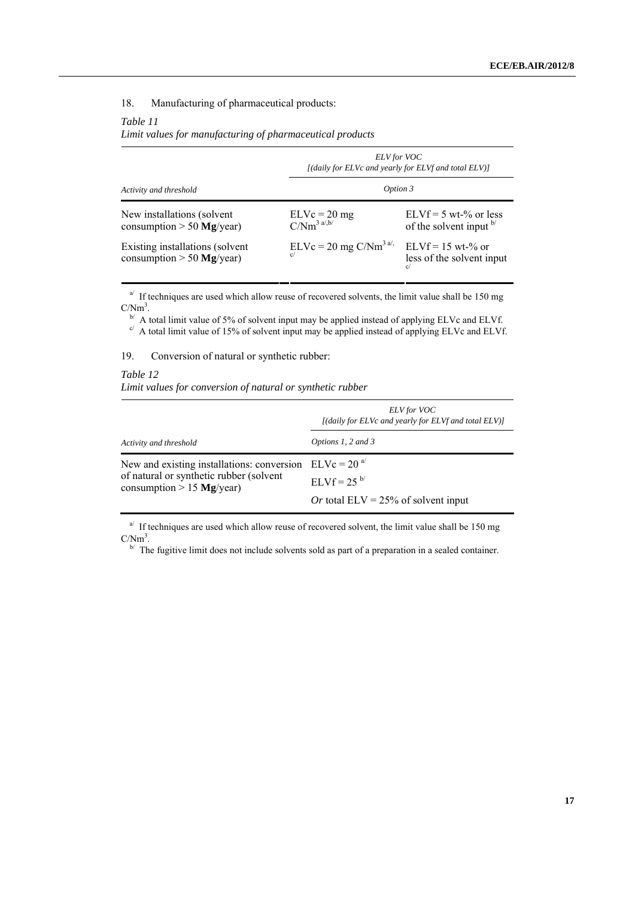## 18. Manufacturing of pharmaceutical products:

#### *Table 11*

*Limit values for manufacturing of pharmaceutical products*

|                                                                | <b>ELV</b> for VOC<br>[(daily for ELVc and yearly for ELVf and total ELV)] |                                                                    |  |
|----------------------------------------------------------------|----------------------------------------------------------------------------|--------------------------------------------------------------------|--|
| Activity and threshold                                         | Option 3                                                                   |                                                                    |  |
| New installations (solvent<br>consumption $> 50$ Mg/year)      | $ELVc = 20 mg$<br>$C/Nm^{3a/b/}$                                           | $ELVf = 5 wt-% or less$<br>of the solvent input b/                 |  |
| Existing installations (solvent<br>consumption $> 50$ Mg/year) | $ELVc = 20$ mg $C/Nm3$ <sup>a/</sup>                                       | $ELVf = 15$ wt-% or<br>less of the solvent input<br>$\mathfrak{g}$ |  |

 $a<sup>j</sup>$  If techniques are used which allow reuse of recovered solvents, the limit value shall be 150 mg  $\frac{C}{W}$ <sup>3</sup>. A total limit value of 5% of solvent input may be applied instead of applying ELVc and ELVf.

 $\sim$  A total limit value of 15% of solvent input may be applied instead of applying ELVc and ELVf.

19. Conversion of natural or synthetic rubber:

*Table 12 Limit values for conversion of natural or synthetic rubber*

|                                                                                                                                   | ELV for VOC<br>[(daily for ELVc and yearly for ELVf and total ELV)] |
|-----------------------------------------------------------------------------------------------------------------------------------|---------------------------------------------------------------------|
| Activity and threshold                                                                                                            | Options 1, 2 and 3                                                  |
| New and existing installations: conversion $ELVc = 20a$<br>of natural or synthetic rubber (solvent<br>consumption $> 15$ Mg/year) | $ELYf = 25^{b/2}$<br>Or total ELV = $25\%$ of solvent input         |

 $a<sup>j</sup>$  If techniques are used which allow reuse of recovered solvent, the limit value shall be 150 mg  $C/Nm<sup>3</sup>$ .

 $\mathbb{R}^{\mathbb{N}}$  The fugitive limit does not include solvents sold as part of a preparation in a sealed container.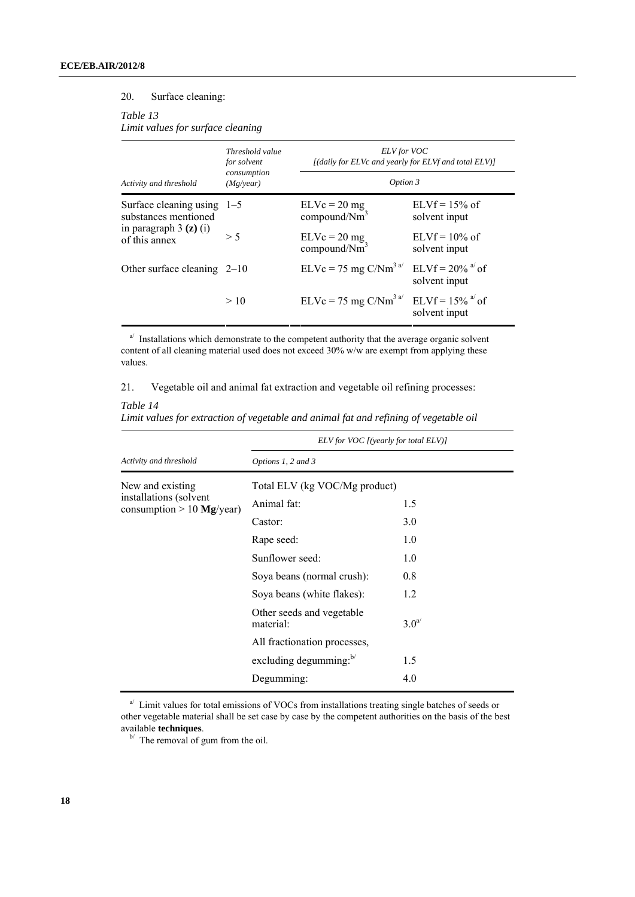#### 20. Surface cleaning:

*Table 13* 

*Limit values for surface cleaning*

| Activity and threshold                               | Threshold value<br>for solvent<br>consumption<br>(Mg/year) | <b>ELV</b> for VOC<br>[(daily for ELVc and yearly for ELVf and total ELV)] |                                                 |
|------------------------------------------------------|------------------------------------------------------------|----------------------------------------------------------------------------|-------------------------------------------------|
|                                                      |                                                            | Option 3                                                                   |                                                 |
| Surface cleaning using $1-5$<br>substances mentioned |                                                            | $ELVc = 20 mg$<br>compound/Nm <sup>3</sup>                                 | $ELYf = 15%$ of<br>solvent input                |
| in paragraph $3$ (z) (i)<br>of this annex            | > 5                                                        | $ELVc = 20 mg$<br>compound/Nm <sup>3</sup>                                 | $ELYf = 10\%$ of<br>solvent input               |
| Other surface cleaning $2-10$                        |                                                            | $ELVc = 75$ mg $C/Nm3$ <sup>a/</sup>                                       | ELVf = $20\%$ <sup>a'</sup> of<br>solvent input |
|                                                      | >10                                                        | $ELVc = 75$ mg $C/Nm3$ <sup>a</sup> $ELVf = 15\%$ <sup>a</sup> of          | solvent input                                   |

 $a^{j}$  Installations which demonstrate to the competent authority that the average organic solvent content of all cleaning material used does not exceed 30% w/w are exempt from applying these values.

21. Vegetable oil and animal fat extraction and vegetable oil refining processes:

#### *Table 14*

|                                                                           | ELV for VOC [(yearly for total ELV)]   |                  |  |  |
|---------------------------------------------------------------------------|----------------------------------------|------------------|--|--|
| Activity and threshold                                                    | Options 1, 2 and 3                     |                  |  |  |
| New and existing<br>installations (solvent<br>consumption $> 10$ Mg/year) | Total ELV (kg VOC/Mg product)          |                  |  |  |
|                                                                           | Animal fat:                            | 1.5              |  |  |
|                                                                           | Castor:                                | 3.0              |  |  |
|                                                                           | Rape seed:                             | 1.0              |  |  |
|                                                                           | Sunflower seed:                        | 1.0              |  |  |
|                                                                           | Soya beans (normal crush):             | 0.8              |  |  |
|                                                                           | Soya beans (white flakes):             | 1.2              |  |  |
|                                                                           | Other seeds and vegetable<br>material: | 3.0 <sup>a</sup> |  |  |
|                                                                           | All fractionation processes,           |                  |  |  |
|                                                                           | excluding degumming: $b$               | 1.5              |  |  |
|                                                                           | Degumming:                             | 4.0              |  |  |

 $a^{j}$  Limit values for total emissions of VOCs from installations treating single batches of seeds or other vegetable material shall be set case by case by the competent authorities on the basis of the best

<sup>b/</sup> The removal of gum from the oil.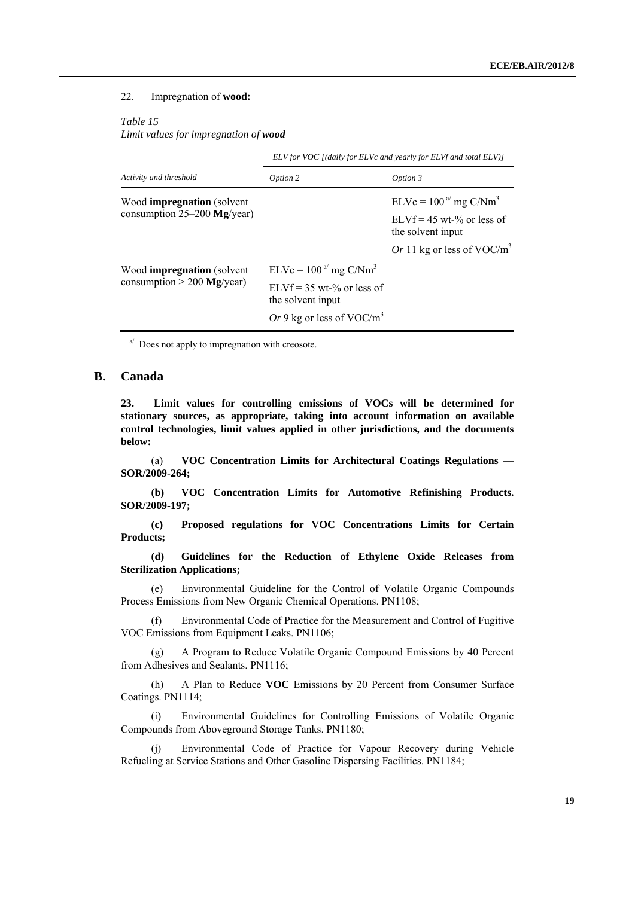#### 22. Impregnation of **wood:**

#### *Table 15*

*Limit values for impregnation of wood*

|                                   | ELV for VOC [(daily for ELVc and yearly for ELVf and total ELV)] |                                                  |  |
|-----------------------------------|------------------------------------------------------------------|--------------------------------------------------|--|
| Activity and threshold            | Option 2                                                         | Option 3                                         |  |
| Wood <b>impregnation</b> (solvent |                                                                  | $ELVc = 100a$ mg C/Nm <sup>3</sup>               |  |
| consumption $25-200$ Mg/year)     |                                                                  | $ELVf = 45$ wt-% or less of<br>the solvent input |  |
|                                   |                                                                  | Or 11 kg or less of VOC/ $m3$                    |  |
| Wood <b>impregnation</b> (solvent | $ELVc = 100a$ mg C/Nm <sup>3</sup>                               |                                                  |  |
| consumption $> 200$ Mg/year)      | $ELVf = 35$ wt-% or less of<br>the solvent input                 |                                                  |  |
|                                   | Or 9 kg or less of VOC/m <sup>3</sup>                            |                                                  |  |

 $a^{j}$  Does not apply to impregnation with creosote.

### **B. Canada**

**23. Limit values for controlling emissions of VOCs will be determined for stationary sources, as appropriate, taking into account information on available control technologies, limit values applied in other jurisdictions, and the documents below:**

 (a) **VOC Concentration Limits for Architectural Coatings Regulations — SOR/2009-264;** 

 **(b) VOC Concentration Limits for Automotive Refinishing Products. SOR/2009-197;** 

 **(c) Proposed regulations for VOC Concentrations Limits for Certain Products;** 

 **(d) Guidelines for the Reduction of Ethylene Oxide Releases from Sterilization Applications;**

 (e) Environmental Guideline for the Control of Volatile Organic Compounds Process Emissions from New Organic Chemical Operations. PN1108;

 (f) Environmental Code of Practice for the Measurement and Control of Fugitive VOC Emissions from Equipment Leaks. PN1106;

 (g) A Program to Reduce Volatile Organic Compound Emissions by 40 Percent from Adhesives and Sealants. PN1116;

 (h) A Plan to Reduce **VOC** Emissions by 20 Percent from Consumer Surface Coatings. PN1114;

 (i) Environmental Guidelines for Controlling Emissions of Volatile Organic Compounds from Aboveground Storage Tanks. PN1180;

 (j) Environmental Code of Practice for Vapour Recovery during Vehicle Refueling at Service Stations and Other Gasoline Dispersing Facilities. PN1184;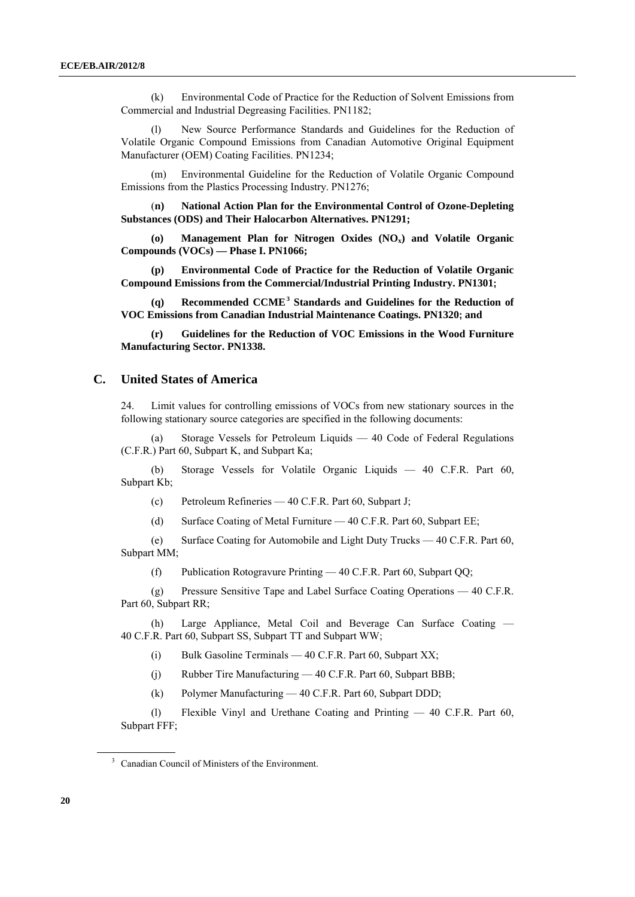<span id="page-19-0"></span> (k) Environmental Code of Practice for the Reduction of Solvent Emissions from Commercial and Industrial Degreasing Facilities. PN1182;

 (l) New Source Performance Standards and Guidelines for the Reduction of Volatile Organic Compound Emissions from Canadian Automotive Original Equipment Manufacturer (OEM) Coating Facilities. PN1234;

 (m) Environmental Guideline for the Reduction of Volatile Organic Compound Emissions from the Plastics Processing Industry. PN1276;

 (**n) National Action Plan for the Environmental Control of Ozone-Depleting Substances (ODS) and Their Halocarbon Alternatives. PN1291;** 

 **(o) Management Plan for Nitrogen Oxides (NOx) and Volatile Organic Compounds (VOCs) — Phase I. PN1066;** 

 **(p) [Environmental Code of Practice for the Reduction of Volatile Organic](http://www.ccme.ca/assets/pdf/voc_printing_1301_e.pdf)  [Compound Emissions from the Commercial/Industrial Printing Industry. PN1301](http://www.ccme.ca/assets/pdf/voc_printing_1301_e.pdf);** 

**(q) [Recommended CCME](http://www.ccme.ca/assets/pdf/pn_1320_bookmarks_e.pdf)[3](#page-19-0) Standards and Guidelines for the Reduction of**  VOC Emissions from Canadian Industrial Maintenance Coatings. PN1320; [and](#page-19-0)

**(r) Guidelines for the Reduction of VOC Emissions in the Wood Furniture Manufacturing Sector. PN1338.**

#### **C. United States of America**

24. Limit values for controlling emissions of VOCs from new stationary sources in the following stationary source categories are specified in the following documents:

 (a) Storage Vessels for Petroleum Liquids — 40 Code of Federal Regulations (C.F.R.) Part 60, Subpart K, and Subpart Ka;

 (b) Storage Vessels for Volatile Organic Liquids — 40 C.F.R. Part 60, Subpart Kb;

(c) Petroleum Refineries — 40 C.F.R. Part 60, Subpart J;

(d) Surface Coating of Metal Furniture — 40 C.F.R. Part 60, Subpart EE;

 (e) Surface Coating for Automobile and Light Duty Trucks — 40 C.F.R. Part 60, Subpart MM;

(f) Publication Rotogravure Printing — 40 C.F.R. Part 60, Subpart QQ;

 (g) Pressure Sensitive Tape and Label Surface Coating Operations — 40 C.F.R. Part 60, Subpart RR;

 (h) Large Appliance, Metal Coil and Beverage Can Surface Coating — 40 C.F.R. Part 60, Subpart SS, Subpart TT and Subpart WW;

(i) Bulk Gasoline Terminals — 40 C.F.R. Part 60, Subpart XX;

(j) Rubber Tire Manufacturing — 40 C.F.R. Part 60, Subpart BBB;

(k) Polymer Manufacturing — 40 C.F.R. Part 60, Subpart DDD;

 (l) Flexible Vinyl and Urethane Coating and Printing — 40 C.F.R. Part 60, Subpart FFF;

<sup>3</sup> Canadian Council of Ministers of the Environment.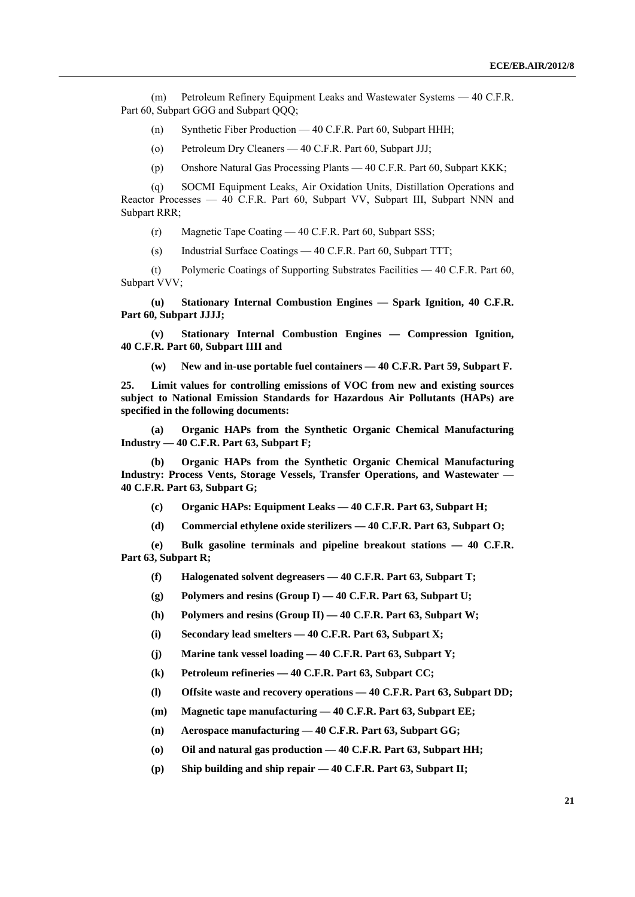(m) Petroleum Refinery Equipment Leaks and Wastewater Systems — 40 C.F.R. Part 60, Subpart GGG and Subpart QQQ;

- (n) Synthetic Fiber Production 40 C.F.R. Part 60, Subpart HHH;
- (o) Petroleum Dry Cleaners 40 C.F.R. Part 60, Subpart JJJ;
- (p) Onshore Natural Gas Processing Plants 40 C.F.R. Part 60, Subpart KKK;

 (q) SOCMI Equipment Leaks, Air Oxidation Units, Distillation Operations and Reactor Processes — 40 C.F.R. Part 60, Subpart VV, Subpart III, Subpart NNN and Subpart RRR;

- (r) Magnetic Tape Coating 40 C.F.R. Part 60, Subpart SSS;
- (s) Industrial Surface Coatings 40 C.F.R. Part 60, Subpart TTT;

 (t) Polymeric Coatings of Supporting Substrates Facilities — 40 C.F.R. Part 60, Subpart VVV;

 **(u) Stationary Internal Combustion Engines — Spark Ignition, 40 C.F.R. Part 60, Subpart JJJJ;** 

 **(v) Stationary Internal Combustion Engines — Compression Ignition, 40 C.F.R. Part 60, Subpart IIII and** 

 **(w) New and in-use portable fuel containers — 40 C.F.R. Part 59, Subpart F.**

**25. Limit values for controlling emissions of VOC from new and existing sources subject to National Emission Standards for Hazardous Air Pollutants (HAPs) are specified in the following documents:** 

 **(a) Organic HAPs from the Synthetic Organic Chemical Manufacturing Industry — 40 C.F.R. Part 63, Subpart F;** 

 **(b) Organic HAPs from the Synthetic Organic Chemical Manufacturing Industry: Process Vents, Storage Vessels, Transfer Operations, and Wastewater — 40 C.F.R. Part 63, Subpart G;** 

- **(c) Organic HAPs: Equipment Leaks 40 C.F.R. Part 63, Subpart H;**
- **(d) Commercial ethylene oxide sterilizers 40 C.F.R. Part 63, Subpart O;**

 **(e) Bulk gasoline terminals and pipeline breakout stations — 40 C.F.R. Part 63, Subpart R;** 

- **(f) Halogenated solvent degreasers 40 C.F.R. Part 63, Subpart T;**
- **(g) Polymers and resins (Group I) 40 C.F.R. Part 63, Subpart U;**

 **(h) Polymers and resins (Group II) — 40 C.F.R. Part 63, Subpart W;** 

 **(i) Secondary lead smelters — 40 C.F.R. Part 63, Subpart X;** 

 **(j) Marine tank vessel loading — 40 C.F.R. Part 63, Subpart Y;** 

- **(k) Petroleum refineries 40 C.F.R. Part 63, Subpart CC;**
- **(l) Offsite waste and recovery operations 40 C.F.R. Part 63, Subpart DD;**
- **(m) Magnetic tape manufacturing 40 C.F.R. Part 63, Subpart EE;**
- **(n) Aerospace manufacturing 40 C.F.R. Part 63, Subpart GG;**
- **(o) Oil and natural gas production 40 C.F.R. Part 63, Subpart HH;**
- **(p) Ship building and ship repair 40 C.F.R. Part 63, Subpart II;**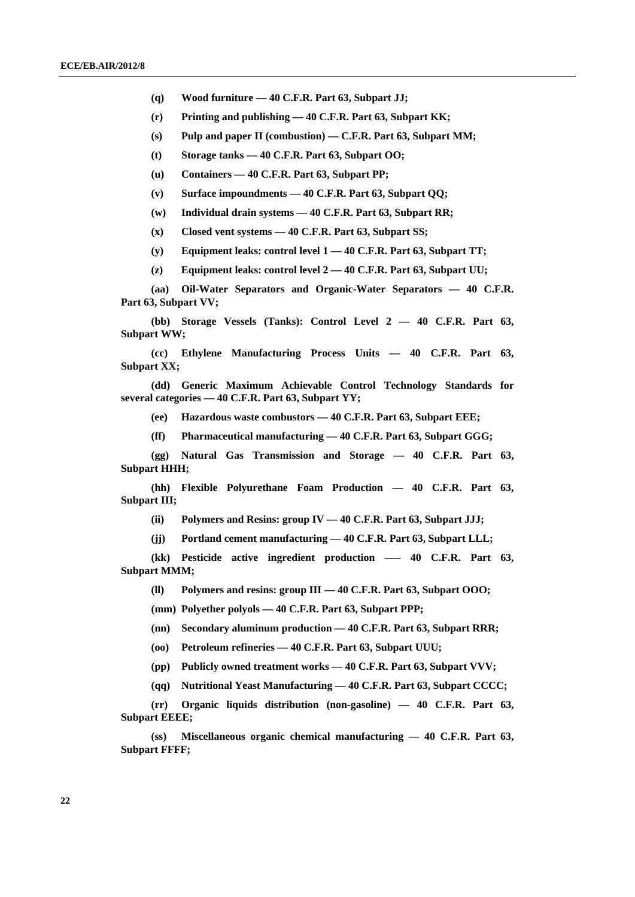- **(q) Wood furniture 40 C.F.R. Part 63, Subpart JJ;**
- **(r) Printing and publishing 40 C.F.R. Part 63, Subpart KK;**
- **(s) Pulp and paper II (combustion) C.F.R. Part 63, Subpart MM;**
- **(t) Storage tanks 40 C.F.R. Part 63, Subpart OO;**
- **(u) Containers 40 C.F.R. Part 63, Subpart PP;**
- **(v) Surface impoundments 40 C.F.R. Part 63, Subpart QQ;**
- **(w) Individual drain systems 40 C.F.R. Part 63, Subpart RR;**
- **(x) Closed vent systems 40 C.F.R. Part 63, Subpart SS;**
- **(y) Equipment leaks: control level 1 40 C.F.R. Part 63, Subpart TT;**
- **(z) Equipment leaks: control level 2 40 C.F.R. Part 63, Subpart UU;**

 **(aa) Oil-Water Separators and Organic-Water Separators — 40 C.F.R. Part 63, Subpart VV;** 

 **(bb) Storage Vessels (Tanks): Control Level 2 — 40 C.F.R. Part 63, Subpart WW;** 

 **(cc) Ethylene Manufacturing Process Units — 40 C.F.R. Part 63, Subpart XX;** 

 **(dd) Generic Maximum Achievable Control Technology Standards for several categories — 40 C.F.R. Part 63, Subpart YY;** 

 **(ee) Hazardous waste combustors — 40 C.F.R. Part 63, Subpart EEE;** 

 **(ff) Pharmaceutical manufacturing — 40 C.F.R. Part 63, Subpart GGG;** 

 **(gg) Natural Gas Transmission and Storage — 40 C.F.R. Part 63, Subpart HHH;** 

 **(hh) Flexible Polyurethane Foam Production — 40 C.F.R. Part 63, Subpart III;** 

 **(ii) Polymers and Resins: group IV — 40 C.F.R. Part 63, Subpart JJJ;** 

 **(jj) Portland cement manufacturing — 40 C.F.R. Part 63, Subpart LLL;** 

 **(kk) Pesticide active ingredient production –— 40 C.F.R. Part 63, Subpart MMM;** 

 **(ll) Polymers and resins: group III — 40 C.F.R. Part 63, Subpart OOO;** 

 **(mm) Polyether polyols — 40 C.F.R. Part 63, Subpart PPP;** 

 **(nn) Secondary aluminum production — 40 C.F.R. Part 63, Subpart RRR;** 

 **(oo) Petroleum refineries — 40 C.F.R. Part 63, Subpart UUU;** 

 **(pp) Publicly owned treatment works — 40 C.F.R. Part 63, Subpart VVV;** 

 **(qq) Nutritional Yeast Manufacturing — 40 C.F.R. Part 63, Subpart CCCC;** 

 **(rr) Organic liquids distribution (non-gasoline) — 40 C.F.R. Part 63, Subpart EEEE;** 

 **(ss) Miscellaneous organic chemical manufacturing — 40 C.F.R. Part 63, Subpart FFFF;**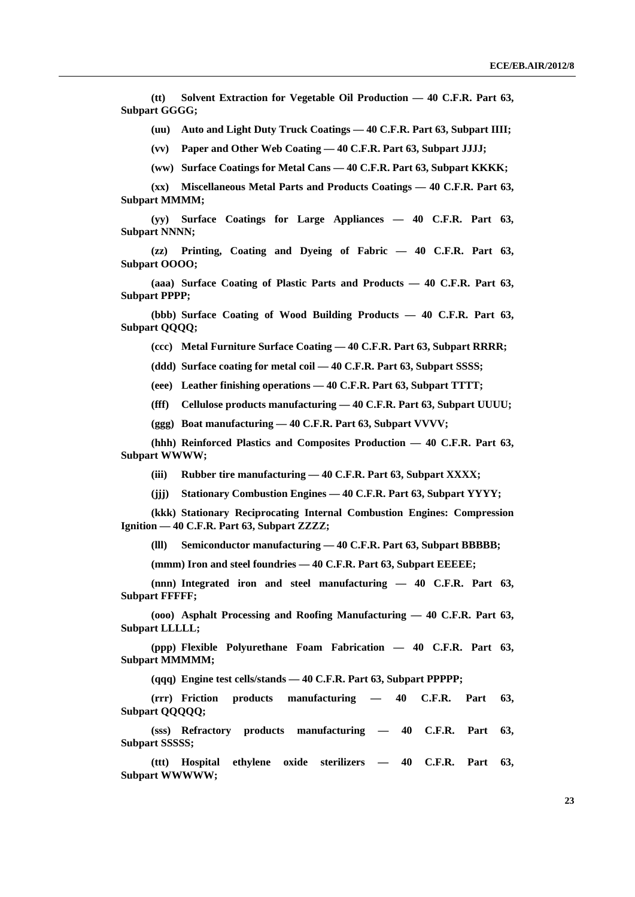**(tt) Solvent Extraction for Vegetable Oil Production — 40 C.F.R. Part 63, Subpart GGGG;** 

 **(uu) Auto and Light Duty Truck Coatings — 40 C.F.R. Part 63, Subpart IIII;** 

 **(vv) Paper and Other Web Coating — 40 C.F.R. Part 63, Subpart JJJJ;** 

 **(ww) Surface Coatings for Metal Cans — 40 C.F.R. Part 63, Subpart KKKK;** 

 **(xx) Miscellaneous Metal Parts and Products Coatings — 40 C.F.R. Part 63, Subpart MMMM;** 

 **(yy) Surface Coatings for Large Appliances — 40 C.F.R. Part 63, Subpart NNNN;** 

 **(zz) Printing, Coating and Dyeing of Fabric — 40 C.F.R. Part 63, Subpart OOOO;** 

 **(aaa) Surface Coating of Plastic Parts and Products — 40 C.F.R. Part 63, Subpart PPPP;** 

 **(bbb) Surface Coating of Wood Building Products — 40 C.F.R. Part 63, Subpart QQQQ;** 

 **(ccc) Metal Furniture Surface Coating — 40 C.F.R. Part 63, Subpart RRRR;** 

 **(ddd) Surface coating for metal coil — 40 C.F.R. Part 63, Subpart SSSS;** 

 **(eee) Leather finishing operations — 40 C.F.R. Part 63, Subpart TTTT;** 

 **(fff) Cellulose products manufacturing — 40 C.F.R. Part 63, Subpart UUUU;** 

 **(ggg) Boat manufacturing — 40 C.F.R. Part 63, Subpart VVVV;** 

 **(hhh) Reinforced Plastics and Composites Production — 40 C.F.R. Part 63, Subpart WWWW;** 

 **(iii) Rubber tire manufacturing — 40 C.F.R. Part 63, Subpart XXXX;** 

 **(jjj) Stationary Combustion Engines — 40 C.F.R. Part 63, Subpart YYYY;** 

 **(kkk) Stationary Reciprocating Internal Combustion Engines: Compression Ignition — 40 C.F.R. Part 63, Subpart ZZZZ;** 

 **(lll) Semiconductor manufacturing — 40 C.F.R. Part 63, Subpart BBBBB;** 

 **(mmm) Iron and steel foundries — 40 C.F.R. Part 63, Subpart EEEEE;** 

 **(nnn) Integrated iron and steel manufacturing — 40 C.F.R. Part 63, Subpart FFFFF;** 

 **(ooo) Asphalt Processing and Roofing Manufacturing — 40 C.F.R. Part 63, Subpart LLLLL;** 

 **(ppp) Flexible Polyurethane Foam Fabrication — 40 C.F.R. Part 63, Subpart MMMMM;** 

 **(qqq) Engine test cells/stands — 40 C.F.R. Part 63, Subpart PPPPP;** 

 **(rrr) Friction products manufacturing — 40 C.F.R. Part 63, Subpart QQQQQ;** 

 **(sss) Refractory products manufacturing — 40 C.F.R. Part 63, Subpart SSSSS;** 

 **(ttt) Hospital ethylene oxide sterilizers — 40 C.F.R. Part 63, Subpart WWWWW;**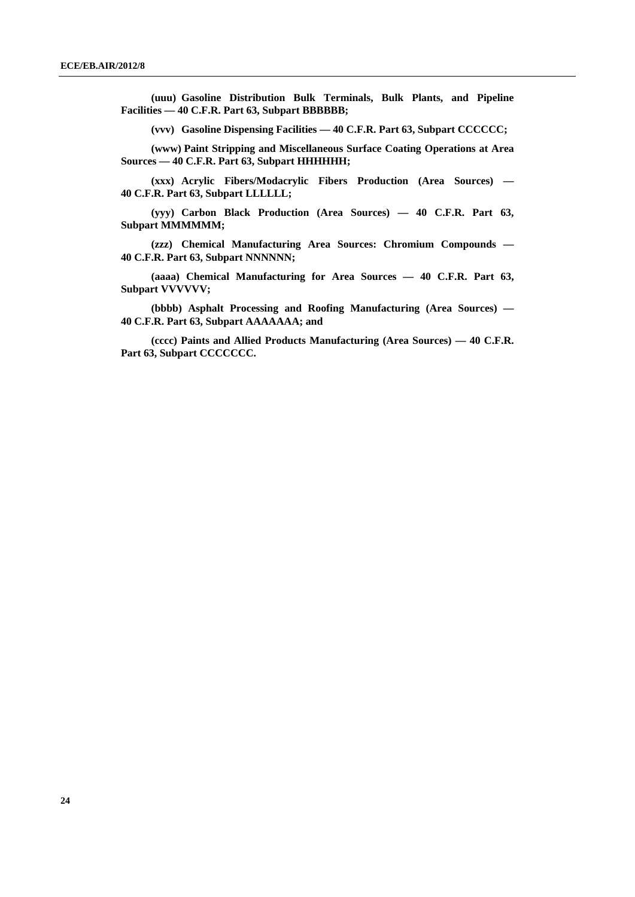**(uuu) Gasoline Distribution Bulk Terminals, Bulk Plants, and Pipeline Facilities — 40 C.F.R. Part 63, Subpart BBBBBB;** 

 **(vvv) Gasoline Dispensing Facilities — 40 C.F.R. Part 63, Subpart CCCCCC;** 

 **(www) Paint Stripping and Miscellaneous Surface Coating Operations at Area Sources — 40 C.F.R. Part 63, Subpart HHHHHH;** 

 **(xxx) Acrylic Fibers/Modacrylic Fibers Production (Area Sources) — 40 C.F.R. Part 63, Subpart LLLLLL;** 

 **(yyy) Carbon Black Production (Area Sources) — 40 C.F.R. Part 63, Subpart MMMMMM;** 

 **(zzz) Chemical Manufacturing Area Sources: Chromium Compounds — 40 C.F.R. Part 63, Subpart NNNNNN;** 

 **(aaaa) Chemical Manufacturing for Area Sources — 40 C.F.R. Part 63, Subpart VVVVVV;** 

 **(bbbb) Asphalt Processing and Roofing Manufacturing (Area Sources) — 40 C.F.R. Part 63, Subpart AAAAAAA; and** 

 **(cccc) Paints and Allied Products Manufacturing (Area Sources) — 40 C.F.R. Part 63, Subpart CCCCCCC.**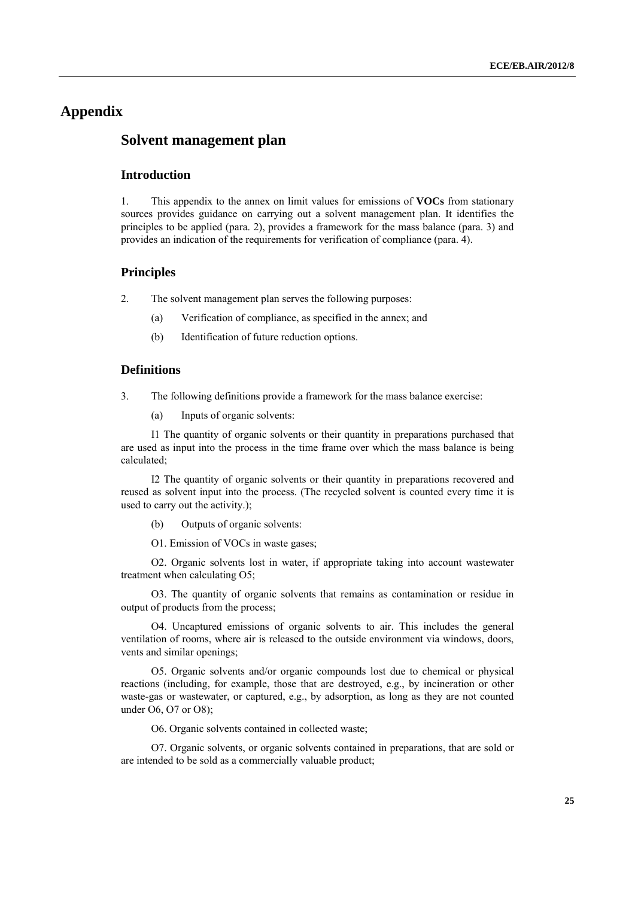## **Appendix**

## **Solvent management plan**

## **Introduction**

1. This appendix to the annex on limit values for emissions of **VOCs** from stationary sources provides guidance on carrying out a solvent management plan. It identifies the principles to be applied (para. 2), provides a framework for the mass balance (para. 3) and provides an indication of the requirements for verification of compliance (para. 4).

#### **Principles**

2. The solvent management plan serves the following purposes:

- (a) Verification of compliance, as specified in the annex; and
- (b) Identification of future reduction options.

### **Definitions**

- 3. The following definitions provide a framework for the mass balance exercise:
	- (a) Inputs of organic solvents:

 I1 The quantity of organic solvents or their quantity in preparations purchased that are used as input into the process in the time frame over which the mass balance is being calculated;

 I2 The quantity of organic solvents or their quantity in preparations recovered and reused as solvent input into the process. (The recycled solvent is counted every time it is used to carry out the activity.);

(b) Outputs of organic solvents:

O1. Emission of VOCs in waste gases;

 O2. Organic solvents lost in water, if appropriate taking into account wastewater treatment when calculating O5;

 O3. The quantity of organic solvents that remains as contamination or residue in output of products from the process;

 O4. Uncaptured emissions of organic solvents to air. This includes the general ventilation of rooms, where air is released to the outside environment via windows, doors, vents and similar openings;

 O5. Organic solvents and/or organic compounds lost due to chemical or physical reactions (including, for example, those that are destroyed, e.g., by incineration or other waste-gas or wastewater, or captured, e.g., by adsorption, as long as they are not counted under O6, O7 or O8);

O6. Organic solvents contained in collected waste;

 O7. Organic solvents, or organic solvents contained in preparations, that are sold or are intended to be sold as a commercially valuable product;